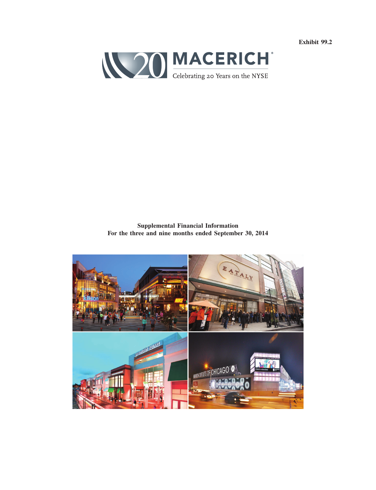**Exhibit 99.2**



**Supplemental Financial Information For the three and nine months ended September 30, 2014**

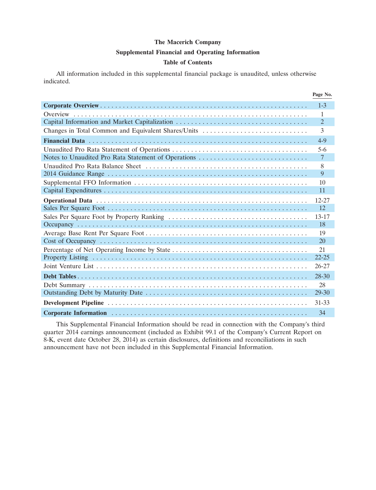#### **Supplemental Financial and Operating Information**

#### **Table of Contents**

All information included in this supplemental financial package is unaudited, unless otherwise indicated.

|                                                     | Page No.        |
|-----------------------------------------------------|-----------------|
|                                                     | $1 - 3$         |
|                                                     | $\mathbf{1}$    |
|                                                     | $\overline{2}$  |
| Changes in Total Common and Equivalent Shares/Units | 3               |
|                                                     | $4-9$           |
|                                                     | $5 - 6$         |
| Notes to Unaudited Pro Rata Statement of Operations | $7\phantom{.0}$ |
|                                                     | 8               |
|                                                     | 9               |
|                                                     | 10              |
|                                                     | 11              |
|                                                     | $12 - 27$       |
|                                                     | 12              |
|                                                     | $13 - 17$       |
|                                                     | 18              |
|                                                     | 19              |
|                                                     | 20              |
|                                                     | 21              |
|                                                     | $22 - 25$       |
|                                                     | $26 - 27$       |
|                                                     | 28-30           |
|                                                     | 28              |
|                                                     | $29 - 30$       |
|                                                     | 31-33           |
|                                                     | 34              |

This Supplemental Financial Information should be read in connection with the Company's third quarter 2014 earnings announcement (included as Exhibit 99.1 of the Company's Current Report on 8-K, event date October 28, 2014) as certain disclosures, definitions and reconciliations in such announcement have not been included in this Supplemental Financial Information.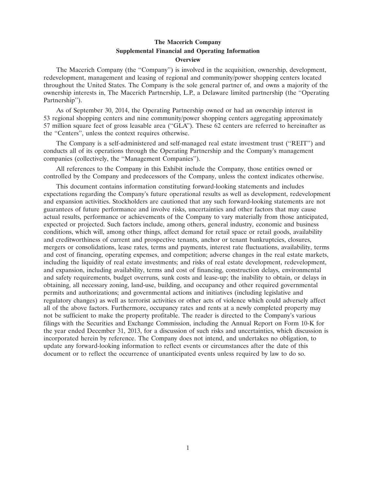#### **The Macerich Company Supplemental Financial and Operating Information Overview**

The Macerich Company (the ''Company'') is involved in the acquisition, ownership, development, redevelopment, management and leasing of regional and community/power shopping centers located throughout the United States. The Company is the sole general partner of, and owns a majority of the ownership interests in, The Macerich Partnership, L.P., a Delaware limited partnership (the ''Operating Partnership'').

As of September 30, 2014, the Operating Partnership owned or had an ownership interest in 53 regional shopping centers and nine community/power shopping centers aggregating approximately 57 million square feet of gross leasable area (''GLA''). These 62 centers are referred to hereinafter as the ''Centers'', unless the context requires otherwise.

The Company is a self-administered and self-managed real estate investment trust (''REIT'') and conducts all of its operations through the Operating Partnership and the Company's management companies (collectively, the ''Management Companies'').

All references to the Company in this Exhibit include the Company, those entities owned or controlled by the Company and predecessors of the Company, unless the context indicates otherwise.

This document contains information constituting forward-looking statements and includes expectations regarding the Company's future operational results as well as development, redevelopment and expansion activities. Stockholders are cautioned that any such forward-looking statements are not guarantees of future performance and involve risks, uncertainties and other factors that may cause actual results, performance or achievements of the Company to vary materially from those anticipated, expected or projected. Such factors include, among others, general industry, economic and business conditions, which will, among other things, affect demand for retail space or retail goods, availability and creditworthiness of current and prospective tenants, anchor or tenant bankruptcies, closures, mergers or consolidations, lease rates, terms and payments, interest rate fluctuations, availability, terms and cost of financing, operating expenses, and competition; adverse changes in the real estate markets, including the liquidity of real estate investments; and risks of real estate development, redevelopment, and expansion, including availability, terms and cost of financing, construction delays, environmental and safety requirements, budget overruns, sunk costs and lease-up; the inability to obtain, or delays in obtaining, all necessary zoning, land-use, building, and occupancy and other required governmental permits and authorizations; and governmental actions and initiatives (including legislative and regulatory changes) as well as terrorist activities or other acts of violence which could adversely affect all of the above factors. Furthermore, occupancy rates and rents at a newly completed property may not be sufficient to make the property profitable. The reader is directed to the Company's various filings with the Securities and Exchange Commission, including the Annual Report on Form 10-K for the year ended December 31, 2013, for a discussion of such risks and uncertainties, which discussion is incorporated herein by reference. The Company does not intend, and undertakes no obligation, to update any forward-looking information to reflect events or circumstances after the date of this document or to reflect the occurrence of unanticipated events unless required by law to do so.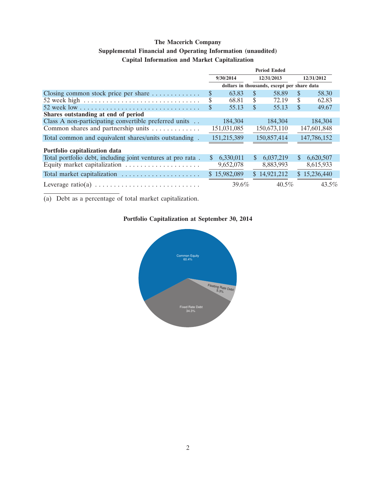## **Supplemental Financial and Operating Information (unaudited)**

## **Capital Information and Market Capitalization**

|                                                                               | <b>Period Ended</b> |              |               |                                             |               |              |  |
|-------------------------------------------------------------------------------|---------------------|--------------|---------------|---------------------------------------------|---------------|--------------|--|
|                                                                               |                     | 9/30/2014    | 12/31/2013    |                                             |               | 12/31/2012   |  |
|                                                                               |                     |              |               | dollars in thousands, except per share data |               |              |  |
| Closing common stock price per share $\dots \dots \dots$                      | \$                  | 63.83        | <b>S</b>      | 58.89                                       | <sup>\$</sup> | 58.30        |  |
| 52 week high $\ldots \ldots \ldots \ldots \ldots \ldots \ldots \ldots \ldots$ | \$                  | 68.81        | S             | 72.19                                       | S             | 62.83        |  |
|                                                                               | \$                  | 55.13        | S             | 55.13                                       | \$            | 49.67        |  |
| Shares outstanding at end of period                                           |                     |              |               |                                             |               |              |  |
| Class A non-participating convertible preferred units                         |                     | 184,304      |               | 184.304                                     |               | 184,304      |  |
| Common shares and partnership units                                           |                     | 151,031,085  |               | 150,673,110                                 |               | 147,601,848  |  |
| Total common and equivalent shares/units outstanding.                         |                     | 151,215,389  |               | 150,857,414                                 |               | 147,786,152  |  |
| Portfolio capitalization data                                                 |                     |              |               |                                             |               |              |  |
| Total portfolio debt, including joint ventures at pro rata.                   | \$                  | 6,330,011    | <sup>\$</sup> | 6,037,219                                   | <sup>\$</sup> | 6,620,507    |  |
|                                                                               |                     | 9,652,078    |               | 8,883,993                                   |               | 8,615,933    |  |
| Total market capitalization                                                   |                     | \$15,982,089 |               | \$14,921,212                                |               | \$15,236,440 |  |
|                                                                               |                     | 39.6%        |               | $40.5\%$                                    |               | $43.5\%$     |  |

(a) Debt as a percentage of total market capitalization.

## **Portfolio Capitalization at September 30, 2014**

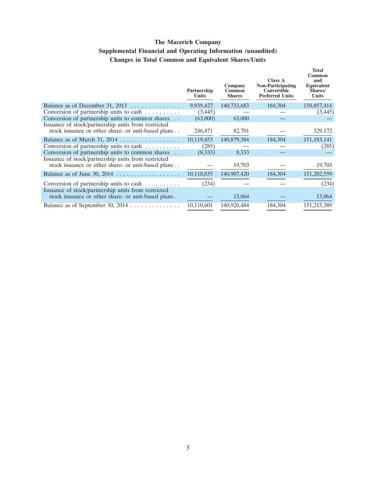## **The Macerich Company Supplemental Financial and Operating Information (unaudited) Changes in Total Common and Equivalent Shares/Units**

|                                                                                                           | Partnership<br>Units | Company<br>Common<br><b>Shares</b> | <b>Class A</b><br><b>Non-Participating</b><br>Convertible<br><b>Preferred Units</b> | <b>Total</b><br>Common<br>and<br>Equivalent<br>Shares/<br>Units |
|-----------------------------------------------------------------------------------------------------------|----------------------|------------------------------------|-------------------------------------------------------------------------------------|-----------------------------------------------------------------|
| Balance as of December 31, 2013 $\ldots$                                                                  | 9,939,427            | 140,733,683                        | 184,304                                                                             | 150,857,414                                                     |
| Conversion of partnership units to cash                                                                   | (3, 445)             |                                    |                                                                                     | (3,445)                                                         |
| Conversion of partnership units to common shares                                                          | (63,000)             | 63,000                             |                                                                                     |                                                                 |
| Issuance of stock/partnership units from restricted<br>stock issuance or other share- or unit-based plans | 246,471              | 82,701                             |                                                                                     | 329,172                                                         |
|                                                                                                           | 10,119,453           | 140,879,384                        | 184,304                                                                             | 151, 183, 141                                                   |
| Conversion of partnership units to cash                                                                   | (285)                |                                    |                                                                                     | (285)                                                           |
| Conversion of partnership units to common shares                                                          | (8,333)              | 8,333                              |                                                                                     |                                                                 |
| Issuance of stock/partnership units from restricted<br>stock issuance or other share- or unit-based plans |                      | 19,703                             |                                                                                     | 19,703                                                          |
|                                                                                                           | 10,110,835           | 140,907,420                        | 184,304                                                                             | 151,202,559                                                     |
| Conversion of partnership units to cash $\dots \dots$                                                     | (234)                |                                    |                                                                                     | (234)                                                           |
| Issuance of stock/partnership units from restricted<br>stock issuance or other share- or unit-based plans |                      | 13,064                             |                                                                                     | 13,064                                                          |
|                                                                                                           | 10,110,601           | 140,920,484                        | 184,304                                                                             | 151,215,389                                                     |
|                                                                                                           |                      |                                    |                                                                                     |                                                                 |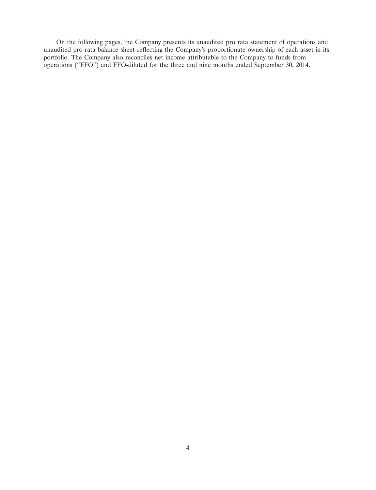On the following pages, the Company presents its unaudited pro rata statement of operations and unaudited pro rata balance sheet reflecting the Company's proportionate ownership of each asset in its portfolio. The Company also reconciles net income attributable to the Company to funds from operations (''FFO'') and FFO-diluted for the three and nine months ended September 30, 2014.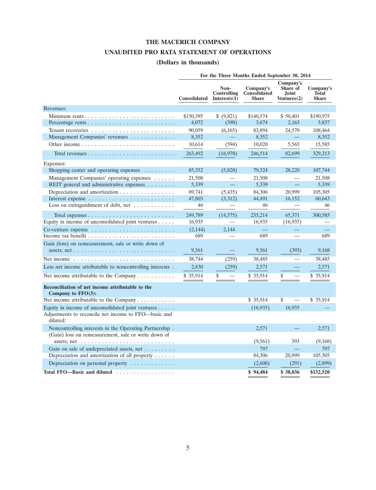## **THE MACERICH COMPANY**

## **UNAUDITED PRO RATA STATEMENT OF OPERATIONS**

## **(Dollars in thousands)**

|                                                                                                                                     | For the Three Months Ended September 30, 2014 |                                     |                                           |                                               |                                           |  |  |
|-------------------------------------------------------------------------------------------------------------------------------------|-----------------------------------------------|-------------------------------------|-------------------------------------------|-----------------------------------------------|-------------------------------------------|--|--|
|                                                                                                                                     | <b>Consolidated</b>                           | Non-<br>Controlling<br>Interests(1) | Company's<br>Consolidated<br><b>Share</b> | Company's<br>Share of<br>Joint<br>Ventures(2) | Company's<br><b>Total</b><br><b>Share</b> |  |  |
| Revenues:                                                                                                                           |                                               |                                     |                                           |                                               |                                           |  |  |
| Minimum rents                                                                                                                       | \$150,395                                     | \$ (9,821)                          | \$140,574                                 | \$50,401                                      | \$190,975                                 |  |  |
|                                                                                                                                     | 4,072                                         | (398)                               | 3,674                                     | 2,163                                         | 5,837                                     |  |  |
|                                                                                                                                     | 90,059                                        | (6,165)                             | 83,894                                    | 24,570                                        | 108,464                                   |  |  |
| Management Companies' revenues                                                                                                      | 8,352                                         |                                     | 8,352                                     |                                               | 8,352                                     |  |  |
|                                                                                                                                     | 10,614                                        | (594)                               | 10,020                                    | 5,565                                         | 15,585                                    |  |  |
| Total revenues $\ldots$ , $\ldots$ , $\ldots$ , $\ldots$ , $\ldots$ , $\ldots$ , $\ldots$                                           | 263,492                                       | (16,978)                            | 246,514                                   | 82,699                                        | 329,213                                   |  |  |
| Expenses:                                                                                                                           |                                               |                                     |                                           |                                               |                                           |  |  |
| Shopping center and operating expenses $\dots \dots$                                                                                | 85,352                                        | (5,828)                             | 79,524                                    | 28,220                                        | 107,744                                   |  |  |
| Management Companies' operating expenses                                                                                            | 21,508                                        |                                     | 21,508                                    |                                               | 21,508                                    |  |  |
| REIT general and administrative expenses                                                                                            | 5,339                                         |                                     | 5,339                                     | 二                                             | 5,339                                     |  |  |
| Depreciation and amortization                                                                                                       | 89,741                                        | (5, 435)                            | 84,306                                    | 20,999                                        | 105,305                                   |  |  |
|                                                                                                                                     | 47,803                                        | (3,312)                             | 44,491                                    | 16,152                                        | 60,643                                    |  |  |
| Loss on extinguishment of debt, net                                                                                                 | 46                                            |                                     | 46                                        |                                               | 46                                        |  |  |
|                                                                                                                                     | 249,789                                       | (14, 575)                           | 235,214                                   | 65,371                                        | 300.585                                   |  |  |
| Equity in income of unconsolidated joint ventures $\dots$ .                                                                         | 16,935                                        |                                     | 16,935                                    | (16,935)                                      |                                           |  |  |
|                                                                                                                                     | (2,144)                                       | 2.144                               |                                           |                                               |                                           |  |  |
|                                                                                                                                     | 689                                           |                                     | 689                                       |                                               | 689                                       |  |  |
| Gain (loss) on remeasurement, sale or write down of                                                                                 |                                               |                                     |                                           |                                               |                                           |  |  |
| assets, net $\dots \dots \dots \dots \dots \dots \dots \dots \dots \dots \dots$                                                     | 9,561                                         |                                     | 9,561                                     | (393)                                         | 9,168                                     |  |  |
| Net income $\dots \dots \dots \dots \dots \dots \dots \dots \dots \dots \dots$                                                      | 38,744                                        | (259)                               | 38,485                                    |                                               | 38,485                                    |  |  |
| Less net income attributable to noncontrolling interests.                                                                           | 2,830                                         | (259)                               | 2,571                                     |                                               | 2,571                                     |  |  |
| Net income attributable to the Company                                                                                              | \$ 35,914                                     | \$                                  | \$35,914                                  | \$                                            | \$35,914                                  |  |  |
| Reconciliation of net income attributable to the<br>Company to $FFO(3)$ :                                                           |                                               |                                     |                                           |                                               |                                           |  |  |
| Net income attributable to the Company                                                                                              |                                               |                                     | \$35,914                                  | \$                                            | \$35,914                                  |  |  |
| Equity in income of unconsolidated joint ventures                                                                                   |                                               |                                     | (16, 935)                                 | 16,935                                        |                                           |  |  |
| Adjustments to reconcile net income to FFO—basic and<br>diluted:                                                                    |                                               |                                     |                                           |                                               |                                           |  |  |
| Noncontrolling interests in the Operating Partnership.                                                                              |                                               |                                     | 2.571                                     |                                               | 2,571                                     |  |  |
| (Gain) loss on remeasurement, sale or write down of<br>assets, net $\ldots \ldots \ldots \ldots \ldots \ldots \ldots \ldots \ldots$ |                                               |                                     | (9, 561)                                  | 393                                           | (9,168)                                   |  |  |
| Gain on sale of undepreciated assets, net                                                                                           |                                               |                                     | 797                                       |                                               | 797                                       |  |  |
| Depreciation and amortization of all property $\dots$ .                                                                             |                                               |                                     | 84,306                                    | 20,999                                        | 105,305                                   |  |  |
| Depreciation on personal property $\dots \dots \dots \dots$                                                                         |                                               |                                     | (2,608)                                   | (291)                                         | (2,899)                                   |  |  |
| Total FFO-Basic and diluted                                                                                                         |                                               |                                     | \$94,484                                  | \$38,036                                      | \$132,520                                 |  |  |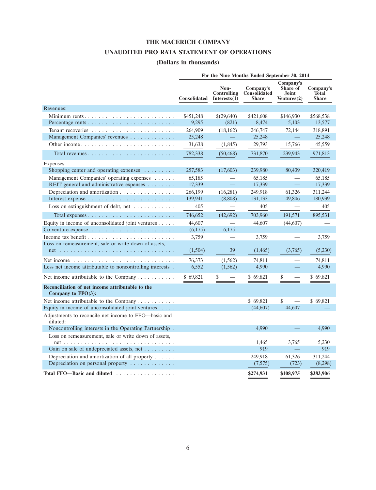## **THE MACERICH COMPANY**

## **UNAUDITED PRO RATA STATEMENT OF OPERATIONS**

## **(Dollars in thousands)**

|                                                                           | For the Nine Months Ended September 30, 2014 |                                               |                                           |                                                      |                                           |  |  |  |
|---------------------------------------------------------------------------|----------------------------------------------|-----------------------------------------------|-------------------------------------------|------------------------------------------------------|-------------------------------------------|--|--|--|
|                                                                           | <b>Consolidated</b>                          | Non-<br><b>Controlling</b><br>Interests $(1)$ | Company's<br>Consolidated<br><b>Share</b> | Company's<br>Share of<br><b>Joint</b><br>Ventures(2) | Company's<br><b>Total</b><br><b>Share</b> |  |  |  |
| Revenues:                                                                 |                                              |                                               |                                           |                                                      |                                           |  |  |  |
| Minimum rents                                                             | \$451,248                                    | \$(29,640)                                    | \$421,608                                 | \$146,930                                            | \$568,538                                 |  |  |  |
|                                                                           | 9,295                                        | (821)                                         | 8,474                                     | 5,103                                                | 13,577                                    |  |  |  |
|                                                                           | 264,909                                      | (18, 162)                                     | 246,747                                   | 72,144                                               | 318,891                                   |  |  |  |
| Management Companies' revenues                                            | 25,248                                       |                                               | 25,248                                    |                                                      | 25,248                                    |  |  |  |
| Other income                                                              | 31,638                                       | (1,845)                                       | 29,793                                    | 15,766                                               | 45,559                                    |  |  |  |
|                                                                           | 782,338                                      | (50, 468)                                     | 731,870                                   | 239.943                                              | 971,813                                   |  |  |  |
| Expenses:                                                                 |                                              |                                               |                                           |                                                      |                                           |  |  |  |
| Shopping center and operating expenses                                    | 257,583                                      | (17,603)                                      | 239,980                                   | 80,439                                               | 320,419                                   |  |  |  |
| Management Companies' operating expenses                                  | 65,185                                       |                                               | 65,185                                    |                                                      | 65,185                                    |  |  |  |
| REIT general and administrative expenses                                  | 17,339                                       | $\equiv$                                      | 17,339                                    | $\frac{1}{2}$                                        | 17,339                                    |  |  |  |
| Depreciation and amortization                                             | 266,199                                      | (16,281)                                      | 249,918                                   | 61,326                                               | 311,244                                   |  |  |  |
|                                                                           | 139,941                                      | (8,808)                                       | 131,133                                   | 49,806                                               | 180,939                                   |  |  |  |
| Loss on extinguishment of debt, net $\dots \dots \dots$                   | 405                                          |                                               | 405                                       |                                                      | 405                                       |  |  |  |
| Total expenses $\dots \dots \dots \dots \dots \dots \dots \dots \dots$    | 746,652                                      | (42,692)                                      | 703,960                                   | 191,571                                              | 895.531                                   |  |  |  |
| Equity in income of unconsolidated joint ventures $\dots$ .               | 44,607                                       |                                               | 44,607                                    | (44,607)                                             |                                           |  |  |  |
| Co-venture expense $\dots \dots \dots \dots \dots \dots \dots \dots$      | (6,175)                                      | 6,175                                         |                                           |                                                      |                                           |  |  |  |
|                                                                           | 3,759                                        |                                               | 3,759                                     |                                                      | 3,759                                     |  |  |  |
| Loss on remeasurement, sale or write down of assets,                      |                                              |                                               |                                           |                                                      |                                           |  |  |  |
|                                                                           | (1,504)                                      | 39                                            | (1,465)                                   | (3,765)                                              | (5,230)                                   |  |  |  |
|                                                                           | 76,373                                       | (1, 562)                                      | 74,811                                    |                                                      | 74,811                                    |  |  |  |
| Less net income attributable to noncontrolling interests.                 | 6,552                                        | (1,562)                                       | 4,990                                     |                                                      | 4,990                                     |  |  |  |
| Net income attributable to the Company $\dots \dots \dots$                | \$69,821                                     | \$                                            | \$69,821                                  | \$                                                   | \$69,821                                  |  |  |  |
| Reconciliation of net income attributable to the<br>Company to $FFO(3)$ : |                                              |                                               |                                           |                                                      |                                           |  |  |  |
| Net income attributable to the Company                                    |                                              |                                               | \$69,821                                  | \$                                                   | \$69,821                                  |  |  |  |
| Equity in income of unconsolidated joint ventures                         |                                              |                                               | (44,607)                                  | 44,607                                               |                                           |  |  |  |
| Adjustments to reconcile net income to FFO—basic and<br>diluted:          |                                              |                                               |                                           |                                                      |                                           |  |  |  |
| Noncontrolling interests in the Operating Partnership.                    |                                              |                                               | 4.990                                     |                                                      | 4,990                                     |  |  |  |
| Loss on remeasurement, sale or write down of assets,                      |                                              |                                               |                                           |                                                      |                                           |  |  |  |
|                                                                           |                                              |                                               | 1,465                                     | 3,765                                                | 5,230                                     |  |  |  |
| Gain on sale of undepreciated assets, net                                 |                                              |                                               | 919                                       |                                                      | 919                                       |  |  |  |
| Depreciation and amortization of all property $\dots$ .                   |                                              |                                               | 249,918                                   | 61,326                                               | 311,244                                   |  |  |  |
| Depreciation on personal property                                         |                                              |                                               | (7,575)                                   | (723)                                                | (8,298)                                   |  |  |  |
| Total FFO-Basic and diluted                                               |                                              |                                               | \$274,931                                 | \$108,975                                            | \$383,906                                 |  |  |  |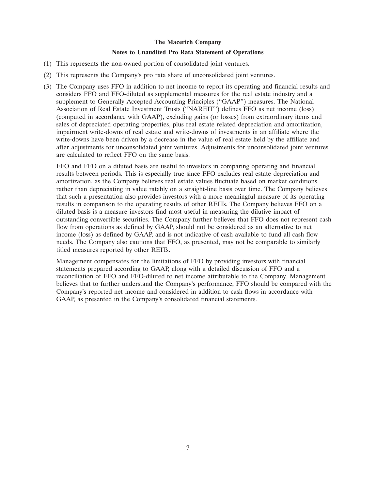#### **Notes to Unaudited Pro Rata Statement of Operations**

- (1) This represents the non-owned portion of consolidated joint ventures.
- (2) This represents the Company's pro rata share of unconsolidated joint ventures.
- (3) The Company uses FFO in addition to net income to report its operating and financial results and considers FFO and FFO-diluted as supplemental measures for the real estate industry and a supplement to Generally Accepted Accounting Principles (''GAAP'') measures. The National Association of Real Estate Investment Trusts (''NAREIT'') defines FFO as net income (loss) (computed in accordance with GAAP), excluding gains (or losses) from extraordinary items and sales of depreciated operating properties, plus real estate related depreciation and amortization, impairment write-downs of real estate and write-downs of investments in an affiliate where the write-downs have been driven by a decrease in the value of real estate held by the affiliate and after adjustments for unconsolidated joint ventures. Adjustments for unconsolidated joint ventures are calculated to reflect FFO on the same basis.

FFO and FFO on a diluted basis are useful to investors in comparing operating and financial results between periods. This is especially true since FFO excludes real estate depreciation and amortization, as the Company believes real estate values fluctuate based on market conditions rather than depreciating in value ratably on a straight-line basis over time. The Company believes that such a presentation also provides investors with a more meaningful measure of its operating results in comparison to the operating results of other REITs. The Company believes FFO on a diluted basis is a measure investors find most useful in measuring the dilutive impact of outstanding convertible securities. The Company further believes that FFO does not represent cash flow from operations as defined by GAAP, should not be considered as an alternative to net income (loss) as defined by GAAP, and is not indicative of cash available to fund all cash flow needs. The Company also cautions that FFO, as presented, may not be comparable to similarly titled measures reported by other REITs.

Management compensates for the limitations of FFO by providing investors with financial statements prepared according to GAAP, along with a detailed discussion of FFO and a reconciliation of FFO and FFO-diluted to net income attributable to the Company. Management believes that to further understand the Company's performance, FFO should be compared with the Company's reported net income and considered in addition to cash flows in accordance with GAAP, as presented in the Company's consolidated financial statements.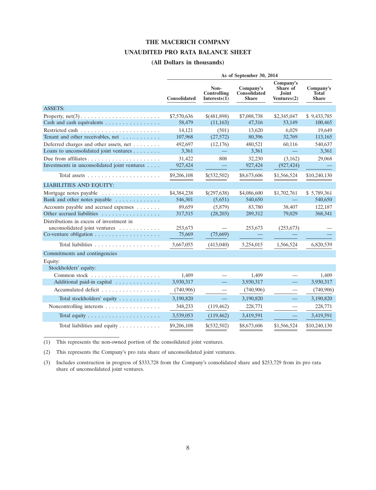#### **THE MACERICH COMPANY**

#### **UNAUDITED PRO RATA BALANCE SHEET**

#### **(All Dollars in thousands)**

|                                                                            | As of September 30, 2014 |                                        |                                           |                                                  |                                    |  |  |  |  |
|----------------------------------------------------------------------------|--------------------------|----------------------------------------|-------------------------------------------|--------------------------------------------------|------------------------------------|--|--|--|--|
|                                                                            | <b>Consolidated</b>      | Non-<br>Controlling<br>Interests $(1)$ | Company's<br>Consolidated<br><b>Share</b> | Company's<br>Share of<br>Joint<br>Ventures $(2)$ | Company's<br>Total<br><b>Share</b> |  |  |  |  |
| <b>ASSETS:</b>                                                             |                          |                                        |                                           |                                                  |                                    |  |  |  |  |
| Property, $net(3) \ldots \ldots \ldots \ldots \ldots \ldots \ldots \ldots$ | \$7,570,636              | \$(481,898)                            | \$7,088,738                               | \$2,345,047                                      | \$9,433,785                        |  |  |  |  |
| Cash and cash equivalents                                                  | 58,479                   | (11, 163)                              | 47,316                                    | 53.149                                           | 100,465                            |  |  |  |  |
|                                                                            | 14,121                   | (501)                                  | 13,620                                    | 6,029                                            | 19,649                             |  |  |  |  |
| Tenant and other receivables, net                                          | 107,968                  | (27, 572)                              | 80,396                                    | 32,769                                           | 113,165                            |  |  |  |  |
| Deferred charges and other assets, net                                     | 492,697                  | (12, 176)                              | 480,521                                   | 60,116                                           | 540,637                            |  |  |  |  |
| Loans to unconsolidated joint ventures                                     | 3,361                    |                                        | 3,361                                     |                                                  | 3,361                              |  |  |  |  |
|                                                                            | 31,422                   | 808                                    | 32,230                                    | (3,162)                                          | 29,068                             |  |  |  |  |
| Investments in unconsolidated joint ventures                               | 927,424                  |                                        | 927,424                                   | (927, 424)                                       |                                    |  |  |  |  |
| Total assets $\ldots \ldots \ldots \ldots \ldots$                          | \$9,206,108              | \$(532,502)                            | \$8,673,606                               | \$1,566,524                                      | \$10,240,130                       |  |  |  |  |
| <b>LIABILITIES AND EQUITY:</b>                                             |                          |                                        |                                           |                                                  |                                    |  |  |  |  |
| Mortgage notes payable                                                     | \$4,384,238              | \$(297,638)                            | \$4,086,600                               | \$1,702,761                                      | \$5,789,361                        |  |  |  |  |
| Bank and other notes payable                                               | 546,301                  | (5,651)                                | 540,650                                   |                                                  | 540,650                            |  |  |  |  |
| Accounts payable and accrued expenses                                      | 89,659                   | (5,879)                                | 83,780                                    | 38,407                                           | 122,187                            |  |  |  |  |
| Other accrued liabilities                                                  | 317,515                  | (28, 203)                              | 289,312                                   | 79,029                                           | 368,341                            |  |  |  |  |
| Distributions in excess of investment in                                   |                          |                                        |                                           |                                                  |                                    |  |  |  |  |
| unconsolidated joint ventures                                              | 253,673                  |                                        | 253,673                                   | (253, 673)                                       |                                    |  |  |  |  |
|                                                                            | 75,669                   | (75,669)                               |                                           |                                                  |                                    |  |  |  |  |
|                                                                            | 5,667,055                | (413,040)                              | 5,254,015                                 | 1,566,524                                        | 6,820,539                          |  |  |  |  |
| Commitments and contingencies                                              |                          |                                        |                                           |                                                  |                                    |  |  |  |  |
| Equity:                                                                    |                          |                                        |                                           |                                                  |                                    |  |  |  |  |
| Stockholders' equity:                                                      |                          |                                        |                                           |                                                  |                                    |  |  |  |  |
|                                                                            | 1.409                    |                                        | 1.409                                     |                                                  | 1.409                              |  |  |  |  |
| Additional paid-in capital                                                 | 3,930,317                |                                        | 3,930,317                                 | ÷,                                               | 3,930,317                          |  |  |  |  |
| Accumulated deficit                                                        | (740,906)                |                                        | (740,906)                                 |                                                  | (740,906)                          |  |  |  |  |
| Total stockholders' equity                                                 | 3,190,820                | $\equiv$                               | 3,190,820                                 | $\overline{\phantom{0}}$                         | 3,190,820                          |  |  |  |  |
| Noncontrolling interests                                                   | 348,233                  | (119, 462)                             | 228,771                                   |                                                  | 228,771                            |  |  |  |  |
|                                                                            | 3,539,053                | (119, 462)                             | 3,419,591                                 |                                                  | 3,419,591                          |  |  |  |  |
| Total liabilities and equity $\dots \dots \dots$                           | \$9,206,108              | \$(532,502)                            | \$8,673,606                               | \$1,566,524                                      | \$10,240,130                       |  |  |  |  |

(1) This represents the non-owned portion of the consolidated joint ventures.

(2) This represents the Company's pro rata share of unconsolidated joint ventures.

(3) Includes construction in progress of \$333,728 from the Company's consolidated share and \$253,729 from its pro rata share of unconsolidated joint ventures.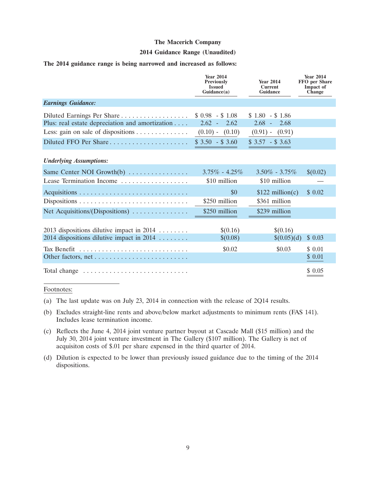#### **2014 Guidance Range (Unaudited)**

#### **The 2014 guidance range is being narrowed and increased as follows:**

|                                                                                          | <b>Year 2014</b><br><b>Previously</b><br><b>Issued</b><br>Guidance(a) | <b>Year 2014</b><br><b>Current</b><br>Guidance | <b>Year 2014</b><br><b>FFO</b> per Share<br><b>Impact of</b><br><b>Change</b> |
|------------------------------------------------------------------------------------------|-----------------------------------------------------------------------|------------------------------------------------|-------------------------------------------------------------------------------|
| <b>Earnings Guidance:</b>                                                                |                                                                       |                                                |                                                                               |
| Plus: real estate depreciation and amortization                                          | $$0.98$ - \$1.08<br>$2.62 -$<br>2.62                                  | $$1.80$ - \$1.86<br>$2.68 - 2.68$              |                                                                               |
| Less: gain on sale of dispositions                                                       | $(0.10) - (0.10)$                                                     | $(0.91) - (0.91)$                              |                                                                               |
|                                                                                          | $$3.50 - $3.60$                                                       | $$3.57 - $3.63$                                |                                                                               |
| <b>Underlying Assumptions:</b>                                                           |                                                                       |                                                |                                                                               |
| Same Center NOI Growth $(b)$                                                             | $3.75\% - 4.25\%$                                                     | $3.50\% - 3.75\%$                              | \$(0.02)                                                                      |
| Lease Termination Income                                                                 | \$10 million                                                          | \$10 million                                   |                                                                               |
|                                                                                          | \$0<br>\$250 million                                                  | $$122$ million(c)<br>\$361 million             | \$0.02                                                                        |
| Net Acquisitions/(Dispositions)                                                          | \$250 million                                                         | \$239 million                                  |                                                                               |
| 2013 dispositions dilutive impact in $2014$<br>2014 dispositions dilutive impact in 2014 | \$(0.16)<br>\$(0.08)                                                  | \$(0.16)<br>\$(0.05)(d)                        | \$0.03                                                                        |
| Tax Benefit                                                                              | \$0.02                                                                | \$0.03                                         | \$0.01<br>\$ 0.01                                                             |
| Total change                                                                             |                                                                       |                                                | \$0.05                                                                        |

Footnotes:

- (a) The last update was on July 23, 2014 in connection with the release of 2Q14 results.
- (b) Excludes straight-line rents and above/below market adjustments to minimum rents (FAS 141). Includes lease termination income.
- (c) Reflects the June 4, 2014 joint venture partner buyout at Cascade Mall (\$15 million) and the July 30, 2014 joint venture investment in The Gallery (\$107 million). The Gallery is net of acquisiton costs of \$.01 per share expensed in the third quarter of 2014.
- (d) Dilution is expected to be lower than previously issued guidance due to the timing of the 2014 dispositions.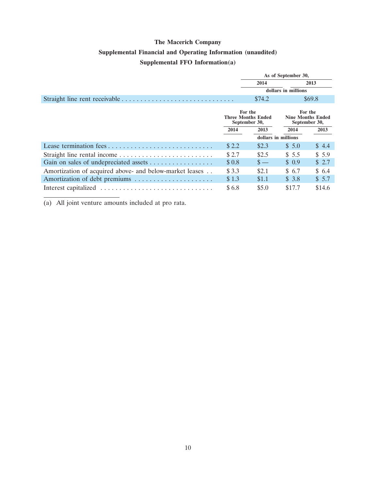# **The Macerich Company Supplemental Financial and Operating Information (unaudited) Supplemental FFO Information(a)**

|                                                         |       | As of September 30,                                   |                     |                                                      |  |  |
|---------------------------------------------------------|-------|-------------------------------------------------------|---------------------|------------------------------------------------------|--|--|
|                                                         |       | 2014                                                  |                     | 2013                                                 |  |  |
|                                                         |       |                                                       | dollars in millions |                                                      |  |  |
|                                                         |       | \$74.2                                                |                     | \$69.8                                               |  |  |
|                                                         |       | For the<br><b>Three Months Ended</b><br>September 30, |                     | For the<br><b>Nine Months Ended</b><br>September 30, |  |  |
|                                                         | 2014  | 2013                                                  | 2014                | 2013                                                 |  |  |
|                                                         |       | dollars in millions                                   |                     |                                                      |  |  |
| Lease termination fees                                  | \$2.2 | \$2.3                                                 | \$5.0               | \$4.4                                                |  |  |
|                                                         | \$2.7 | \$2.5                                                 | \$5.5               | \$5.9                                                |  |  |
|                                                         | \$0.8 | $\mathbf{s}$ —                                        | \$0.9               | \$2.7                                                |  |  |
| Amortization of acquired above- and below-market leases | \$3.3 | \$2.1                                                 | \$ 6.7              | \$6.4                                                |  |  |
| Amortization of debt premiums                           | \$1.3 | \$1.1                                                 | \$3.8               | \$5.7                                                |  |  |
|                                                         | \$6.8 | \$5.0                                                 | \$17.7              | \$14.6                                               |  |  |

(a) All joint venture amounts included at pro rata.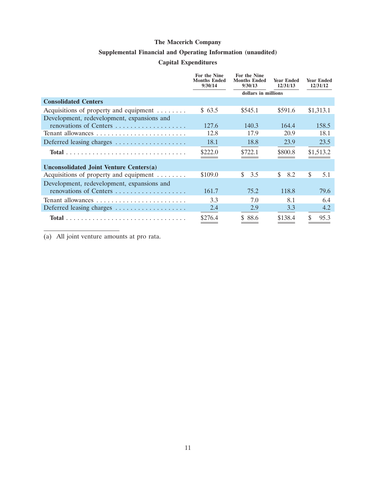## **Supplemental Financial and Operating Information (unaudited)**

## **Capital Expenditures**

|                                                     | For the Nine<br><b>Months Ended</b><br>9/30/14 | <b>For the Nine</b><br><b>Months Ended</b><br>9/30/13 | <b>Year Ended</b><br>12/31/13 | <b>Year Ended</b><br>12/31/12 |
|-----------------------------------------------------|------------------------------------------------|-------------------------------------------------------|-------------------------------|-------------------------------|
|                                                     |                                                | dollars in millions                                   |                               |                               |
| <b>Consolidated Centers</b>                         |                                                |                                                       |                               |                               |
| Acquisitions of property and equipment              | \$63.5                                         | \$545.1                                               | \$591.6                       | \$1,313.1                     |
| Development, redevelopment, expansions and          |                                                |                                                       |                               |                               |
| renovations of Centers                              | 127.6                                          | 140.3                                                 | 164.4                         | 158.5                         |
|                                                     | 12.8                                           | 17.9                                                  | 20.9                          | 18.1                          |
| Deferred leasing charges                            | 18.1                                           | 18.8                                                  | 23.9                          | 23.5                          |
|                                                     | \$222.0                                        | \$722.1                                               | \$800.8                       | \$1,513.2                     |
| <b>Unconsolidated Joint Venture Centers(a)</b>      |                                                |                                                       |                               |                               |
| Acquisitions of property and equipment $\dots\dots$ | \$109.0                                        | \$<br>3.5                                             | \$.<br>8.2                    | \$<br>5.1                     |
| Development, redevelopment, expansions and          |                                                |                                                       |                               |                               |
| renovations of Centers                              | 161.7                                          | 75.2                                                  | 118.8                         | 79.6                          |
|                                                     | 3.3                                            | 7.0                                                   | 8.1                           | 6.4                           |
| Deferred leasing charges                            | 2.4                                            | 2.9                                                   | 3.3                           | 4.2                           |
|                                                     | \$276.4                                        | \$88.6                                                | \$138.4                       | \$<br>95.3                    |

(a) All joint venture amounts at pro rata.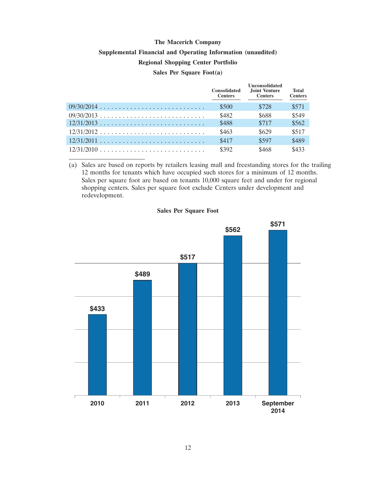# **The Macerich Company Supplemental Financial and Operating Information (unaudited) Regional Shopping Center Portfolio Sales Per Square Foot(a)**

|                                                               | <b>Consolidated</b><br><b>Centers</b> | <b>Unconsolidated</b><br>Joint Venture<br><b>Centers</b> | <b>Total</b><br><b>Centers</b> |
|---------------------------------------------------------------|---------------------------------------|----------------------------------------------------------|--------------------------------|
|                                                               | \$500                                 | \$728                                                    | \$571                          |
|                                                               | \$482                                 | \$688                                                    | \$549                          |
|                                                               | \$488                                 | \$717                                                    | \$562                          |
| $12/31/2012$                                                  | \$463                                 | \$629                                                    | \$517                          |
|                                                               | \$417                                 | \$597                                                    | \$489                          |
| $12/31/2010 \ldots \ldots \ldots \ldots \ldots \ldots \ldots$ | \$392                                 | \$468                                                    | \$433                          |

(a) Sales are based on reports by retailers leasing mall and freestanding stores for the trailing 12 months for tenants which have occupied such stores for a minimum of 12 months. Sales per square foot are based on tenants 10,000 square feet and under for regional shopping centers. Sales per square foot exclude Centers under development and redevelopment.

# **\$433 \$489 \$571 \$562 \$517**

#### **Sales Per Square Foot**

**2010 2011 2012 September**

**2013**

**2014**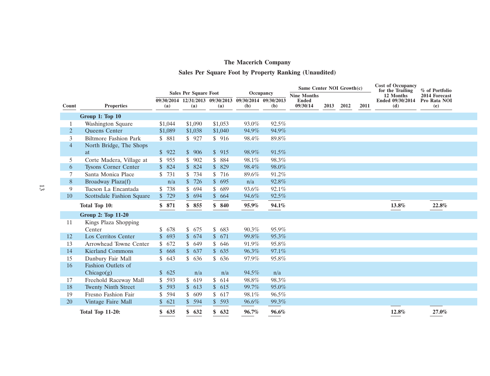# **The Macerich Company Sales Per Square Foot by Property Ranking (Unaudited)**

|                |                              |                           |                              |                                         |                              |          |                          | Same Center NOI Growth(c) |      | <b>Cost of Occupancy</b><br>for the Trailing | % of Portfolio          |                     |  |
|----------------|------------------------------|---------------------------|------------------------------|-----------------------------------------|------------------------------|----------|--------------------------|---------------------------|------|----------------------------------------------|-------------------------|---------------------|--|
|                |                              |                           | <b>Sales Per Square Foot</b> |                                         | Occupancy                    |          | <b>Nine Months</b>       |                           |      |                                              | 12 Months               | 2014 Forecast       |  |
| Count          | <b>Properties</b>            | (a)                       | (a)                          | 09/30/2014 12/31/2013 09/30/2013<br>(a) | 09/30/2014 09/30/2013<br>(b) | (b)      | <b>Ended</b><br>09/30/14 | 2013                      | 2012 | 2011                                         | Ended 09/30/2014<br>(d) | Pro Rata NOI<br>(e) |  |
|                | Group 1: Top 10              |                           |                              |                                         |                              |          |                          |                           |      |                                              |                         |                     |  |
|                |                              |                           |                              |                                         |                              |          |                          |                           |      |                                              |                         |                     |  |
|                | Washington Square            | \$1,044                   | \$1,090                      | \$1,053                                 | 93.0%                        | 92.5%    |                          |                           |      |                                              |                         |                     |  |
| $\overline{2}$ | <b>Oueens</b> Center         | \$1,089                   | \$1,038                      | \$1,040                                 | 94.9%                        | 94.9%    |                          |                           |      |                                              |                         |                     |  |
| 3              | <b>Biltmore Fashion Park</b> | \$ 881                    | \$927                        | \$916                                   | 98.4%                        | 89.8%    |                          |                           |      |                                              |                         |                     |  |
| $\overline{4}$ | North Bridge, The Shops      |                           |                              |                                         |                              |          |                          |                           |      |                                              |                         |                     |  |
|                | <sub>at</sub>                | \$922                     | \$906                        | \$915                                   | 98.9%                        | $91.5\%$ |                          |                           |      |                                              |                         |                     |  |
| 5              | Corte Madera, Village at     | \$<br>955                 | \$902                        | \$<br>884                               | 98.1%                        | 98.3%    |                          |                           |      |                                              |                         |                     |  |
| 6              | <b>Tysons Corner Center</b>  | $\mathbb{S}^-$<br>824     | \$824                        | \$829                                   | 98.4%                        | 98.0%    |                          |                           |      |                                              |                         |                     |  |
| 7              | Santa Monica Place           | 731                       | \$734                        | \$<br>716                               | 89.6%                        | 91.2%    |                          |                           |      |                                              |                         |                     |  |
| 8              | Broadway Plaza(f)            | n/a                       | \$726                        | $\mathbb{S}$<br>695                     | n/a                          | 92.8%    |                          |                           |      |                                              |                         |                     |  |
| 9              | Tucson La Encantada          | 738                       | \$694                        | \$<br>689                               | 93.6%                        | 92.1%    |                          |                           |      |                                              |                         |                     |  |
| 10             | Scottsdale Fashion Square    | \$729                     | \$694                        | \$664                                   | 94.6%                        | 92.5%    |                          |                           |      |                                              |                         |                     |  |
|                | Total Top 10:                | \$871                     | \$855                        | \$<br>840                               | 95.9%                        | 94.1%    |                          |                           |      |                                              | 13.8%                   | 22.8%               |  |
|                | Group 2: Top 11-20           |                           |                              |                                         |                              |          |                          |                           |      |                                              |                         |                     |  |
| 11             | Kings Plaza Shopping         |                           |                              |                                         |                              |          |                          |                           |      |                                              |                         |                     |  |
|                | Center                       | \$<br>678                 | \$675                        | \$<br>683                               | 90.3%                        | 95.9%    |                          |                           |      |                                              |                         |                     |  |
| 12             | Los Cerritos Center          | $\mathbb{S}$<br>693       | \$674                        | \$671                                   | 99.8%                        | 95.3%    |                          |                           |      |                                              |                         |                     |  |
| 13             | Arrowhead Towne Center       | $\mathbf{\hat{S}}$<br>672 | \$649                        | \$<br>646                               | 91.9%                        | 95.8%    |                          |                           |      |                                              |                         |                     |  |
| 14             | <b>Kierland Commons</b>      | $\mathbb{S}$<br>668       | \$637                        | $\mathbb{S}$<br>635                     | 96.3%                        | 97.1%    |                          |                           |      |                                              |                         |                     |  |
| 15             | Danbury Fair Mall            | \$643                     | \$636                        | \$636                                   | 97.9%                        | 95.8%    |                          |                           |      |                                              |                         |                     |  |
| 16             | Fashion Outlets of           |                           |                              |                                         |                              |          |                          |                           |      |                                              |                         |                     |  |
|                | Chicago(g)                   | $\mathbb{S}^-$<br>625     | n/a                          | n/a                                     | 94.5%                        | n/a      |                          |                           |      |                                              |                         |                     |  |
| 17             | Freehold Raceway Mall        | 593<br>\$                 | \$619                        | \$614                                   | 98.8%                        | 98.3%    |                          |                           |      |                                              |                         |                     |  |
| 18             | <b>Twenty Ninth Street</b>   | 593<br>$\mathbb{S}$       | \$613                        | \$615                                   | 99.7%                        | 95.0%    |                          |                           |      |                                              |                         |                     |  |
| 19             | Fresno Fashion Fair          | 594                       | \$609                        | \$<br>617                               | 98.1%                        | 96.5%    |                          |                           |      |                                              |                         |                     |  |
| 20             | Vintage Faire Mall           | 621<br>\$                 | \$594                        | \$593                                   | 96.6%                        | 99.3%    |                          |                           |      |                                              |                         |                     |  |
|                | <b>Total Top 11-20:</b>      | 635<br>\$                 | \$632                        | \$<br>632                               | 96.7%                        | 96.6%    |                          |                           |      |                                              | 12.8%                   | 27.0%               |  |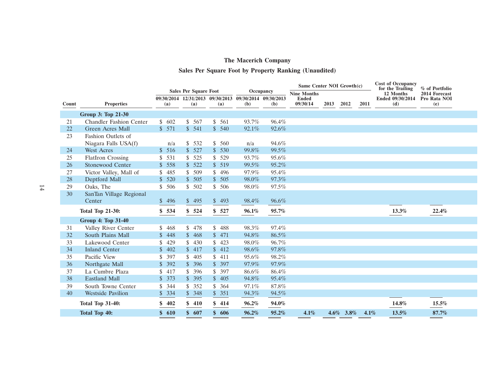## **Sales Per Square Foot by Property Ranking (Unaudited)**

|          |                                              |                                  |                                         |                           |                              |                | Same Center NOI Growth(c) |      |              |      | <b>Cost of Occupancy</b> | for the Trailing<br>% of Portfolio |  |
|----------|----------------------------------------------|----------------------------------|-----------------------------------------|---------------------------|------------------------------|----------------|---------------------------|------|--------------|------|--------------------------|------------------------------------|--|
|          |                                              |                                  | <b>Sales Per Square Foot</b>            |                           |                              | Occupancy      | <b>Nine Months</b>        |      |              |      | 12 Months                | 2014 Forecast                      |  |
| Count    | <b>Properties</b>                            | (a)                              | 09/30/2014 12/31/2013 09/30/2013<br>(a) | (a)                       | 09/30/2014 09/30/2013<br>(b) | (b)            | <b>Ended</b><br>09/30/14  | 2013 | 2012         | 2011 | Ended 09/30/2014<br>(d)  | Pro Rata NOI<br>(e)                |  |
|          | Group 3: Top 21-30                           |                                  |                                         |                           |                              |                |                           |      |              |      |                          |                                    |  |
|          |                                              |                                  |                                         |                           |                              |                |                           |      |              |      |                          |                                    |  |
| 21       | <b>Chandler Fashion Center</b>               | \$602<br>\$571                   | \$567<br>\$541                          | \$<br>561<br>\$540        | 93.7%                        | 96.4%          |                           |      |              |      |                          |                                    |  |
| 22       | Green Acres Mall                             |                                  |                                         |                           | 92.1%                        | 92.6%          |                           |      |              |      |                          |                                    |  |
| 23       | Fashion Outlets of                           |                                  |                                         |                           |                              |                |                           |      |              |      |                          |                                    |  |
| 24       | Niagara Falls USA(f)<br><b>West Acres</b>    | n/a<br>\$516                     | \$532<br>\$527                          | \$560<br>\$530            | n/a<br>99.8%                 | 94.6%<br>99.5% |                           |      |              |      |                          |                                    |  |
|          |                                              |                                  |                                         |                           |                              |                |                           |      |              |      |                          |                                    |  |
| 25<br>26 | <b>FlatIron Crossing</b><br>Stonewood Center | 531<br>\$<br>\$558               | \$525<br>\$522                          | \$<br>529<br>\$519        | 93.7%<br>99.5%               | 95.6%<br>95.2% |                           |      |              |      |                          |                                    |  |
| 27       |                                              |                                  |                                         |                           |                              | 95.4%          |                           |      |              |      |                          |                                    |  |
|          | Victor Valley, Mall of                       | \$<br>485<br>$\mathbb{S}$<br>520 | \$509                                   | \$<br>496<br>$\mathbb{S}$ | 97.9%                        |                |                           |      |              |      |                          |                                    |  |
| 28       | Deptford Mall                                |                                  | \$505                                   | 505                       | 98.0%                        | 97.3%          |                           |      |              |      |                          |                                    |  |
| 29<br>30 | Oaks, The<br>SanTan Village Regional         | \$506                            | \$502                                   | \$506                     | 98.0%                        | 97.5%          |                           |      |              |      |                          |                                    |  |
|          | Center                                       | \$496                            | \$495                                   | \$493                     | 98.4%                        | 96.6%          |                           |      |              |      |                          |                                    |  |
|          |                                              |                                  |                                         |                           |                              |                |                           |      |              |      |                          |                                    |  |
|          | <b>Total Top 21-30:</b>                      | \$534                            | \$524                                   | \$527                     | 96.1%                        | 95.7%          |                           |      |              |      | 13.3%                    | 22.4%                              |  |
|          | <b>Group 4: Top 31-40</b>                    |                                  |                                         |                           |                              |                |                           |      |              |      |                          |                                    |  |
| 31       | Valley River Center                          | 468<br>S.                        | \$478                                   | \$<br>488                 | 98.3%                        | 97.4%          |                           |      |              |      |                          |                                    |  |
| 32       | South Plains Mall                            | $\mathbb{S}$<br>448              | \$468                                   | $\mathbb{S}$<br>471       | 94.8%                        | 86.5%          |                           |      |              |      |                          |                                    |  |
| 33       | Lakewood Center                              | \$<br>429                        | 430<br>\$.                              | \$<br>423                 | 98.0%                        | 96.7%          |                           |      |              |      |                          |                                    |  |
| 34       | <b>Inland Center</b>                         | \$402                            | \$417                                   | \$412                     | 98.6%                        | 97.8%          |                           |      |              |      |                          |                                    |  |
| 35       | Pacific View                                 | 397<br>\$                        | \$405                                   | \$411                     | 95.6%                        | 98.2%          |                           |      |              |      |                          |                                    |  |
| 36       | Northgate Mall                               | \$392                            | \$396                                   | \$397                     | 97.9%                        | 97.9%          |                           |      |              |      |                          |                                    |  |
| 37       | La Cumbre Plaza                              | \$<br>417                        | \$396                                   | \$<br>397                 | 86.6%                        | 86.4%          |                           |      |              |      |                          |                                    |  |
| 38       | <b>Eastland Mall</b>                         | \$373                            | \$395                                   | \$405                     | 94.8%                        | 95.4%          |                           |      |              |      |                          |                                    |  |
| 39       | South Towne Center                           | 344<br>\$                        | \$352                                   | \$<br>364                 | 97.1%                        | 87.8%          |                           |      |              |      |                          |                                    |  |
| 40       | <b>Westside Pavilion</b>                     | $\mathbb{S}$<br>334              | \$348                                   | \$<br>351                 | 94.3%                        | 94.5%          |                           |      |              |      |                          |                                    |  |
|          | <b>Total Top 31-40:</b>                      | 402<br>\$                        | \$410                                   | \$414                     | 96.2%                        | 94.0%          |                           |      |              |      | 14.8%                    | 15.5%                              |  |
|          | <b>Total Top 40:</b>                         | \$610                            | \$607                                   | \$606                     | 96.2%                        | 95.2%          | 4.1%                      |      | $4.6\%$ 3.8% | 4.1% | 13.5%                    | 87.7%                              |  |
|          |                                              |                                  |                                         |                           |                              |                |                           |      |              |      |                          |                                    |  |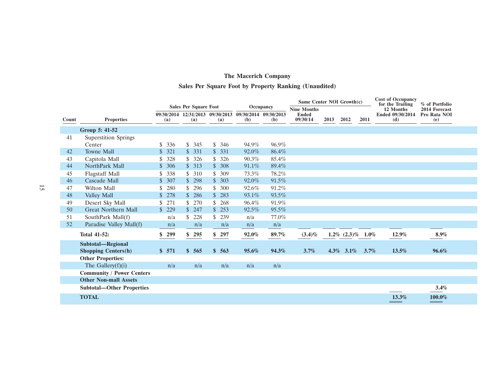## **Sales Per Square Foot by Property Ranking (Unaudited)**

|       | <b>Sales Per Square Foot</b><br>Occupancy |                       | Same Center NOI Growth(c) |                                  |                       | <b>Cost of Occupancy</b><br>% of Portfolio<br>for the Trailing |                                    |      |                   |         |                               |                               |  |
|-------|-------------------------------------------|-----------------------|---------------------------|----------------------------------|-----------------------|----------------------------------------------------------------|------------------------------------|------|-------------------|---------|-------------------------------|-------------------------------|--|
|       |                                           |                       |                           | 09/30/2014 12/31/2013 09/30/2013 | 09/30/2014 09/30/2013 |                                                                | <b>Nine Months</b><br><b>Ended</b> |      |                   |         | 12 Months<br>Ended 09/30/2014 | 2014 Forecast<br>Pro Rata NOI |  |
| Count | <b>Properties</b>                         | (a)                   | (a)                       | (a)                              | (b)                   | (b)                                                            | 09/30/14                           | 2013 | 2012              | 2011    | (d)                           | (e)                           |  |
|       | Group 5: 41-52                            |                       |                           |                                  |                       |                                                                |                                    |      |                   |         |                               |                               |  |
| 41    | <b>Superstition Springs</b>               |                       |                           |                                  |                       |                                                                |                                    |      |                   |         |                               |                               |  |
|       | Center                                    | \$.<br>336            | \$345                     | \$<br>346                        | 94.9%                 | 96.9%                                                          |                                    |      |                   |         |                               |                               |  |
| 42    | <b>Towne Mall</b>                         | $\mathbb{S}^-$<br>321 | \$331                     | $\mathbb{S}$<br>331              | 92.0%                 | 86.4%                                                          |                                    |      |                   |         |                               |                               |  |
| 43    | Capitola Mall                             | 328<br>\$.            | \$326                     | \$<br>326                        | 90.3%                 | 85.4%                                                          |                                    |      |                   |         |                               |                               |  |
| 44    | NorthPark Mall                            | $\mathbb{S}^-$<br>306 | \$313                     | 308<br>$\mathbb{S}$              | 91.1%                 | 89.4%                                                          |                                    |      |                   |         |                               |                               |  |
| 45    | <b>Flagstaff Mall</b>                     | \$<br>338             | \$310                     | \$<br>309                        | 73.3%                 | 78.2%                                                          |                                    |      |                   |         |                               |                               |  |
| 46    | Cascade Mall                              | \$307                 | \$298                     | \$303                            | 92.0%                 | 91.5%                                                          |                                    |      |                   |         |                               |                               |  |
| 47    | Wilton Mall                               | 280<br>\$             | 296                       | \$<br>300                        | 92.6%                 | 91.2%                                                          |                                    |      |                   |         |                               |                               |  |
| 48    | Valley Mall                               | $\mathbb{S}$<br>278   | \$286                     | $\mathbb{S}$<br>283              | 93.1%                 | 93.5%                                                          |                                    |      |                   |         |                               |                               |  |
| 49    | Desert Sky Mall                           | 271<br>\$             | \$270                     | \$<br>268                        | 96.4%                 | 91.9%                                                          |                                    |      |                   |         |                               |                               |  |
| 50    | <b>Great Northern Mall</b>                | \$229                 | \$247                     | 253<br>$\mathbb{S}$              | 92.5%                 | 95.5%                                                          |                                    |      |                   |         |                               |                               |  |
| 51    | SouthPark Mall(f)                         | n/a                   | 228                       | \$<br>239                        | n/a                   | 77.0%                                                          |                                    |      |                   |         |                               |                               |  |
| 52    | Paradise Valley Mall(f)                   | n/a                   | n/a                       | n/a                              | n/a                   | n/a                                                            |                                    |      |                   |         |                               |                               |  |
|       | <b>Total 41-52:</b>                       | \$299                 | \$295                     | 297<br>\$                        | 92.0%                 | 89.7%                                                          | $(3.4)\%$                          |      | $1.2\%$ $(2.3)\%$ | $1.0\%$ | 12.9%                         | 8.9%                          |  |
|       | Subtotal-Regional                         |                       |                           |                                  |                       |                                                                |                                    |      |                   |         |                               |                               |  |
|       | <b>Shopping Centers(h)</b>                | \$571                 | \$565                     | \$563                            | 95.6%                 | 94.3%                                                          | 3.7%                               |      | $4.3\%$ $3.1\%$   | 3.7%    | 13.5%                         | 96.6%                         |  |
|       | <b>Other Properties:</b>                  |                       |                           |                                  |                       |                                                                |                                    |      |                   |         |                               |                               |  |
|       | The Gallery $(f)(i)$                      | n/a                   | n/a                       | n/a                              | n/a                   | n/a                                                            |                                    |      |                   |         |                               |                               |  |
|       | <b>Community / Power Centers</b>          |                       |                           |                                  |                       |                                                                |                                    |      |                   |         |                               |                               |  |
|       | <b>Other Non-mall Assets</b>              |                       |                           |                                  |                       |                                                                |                                    |      |                   |         |                               |                               |  |
|       | <b>Subtotal-Other Properties</b>          |                       |                           |                                  |                       |                                                                |                                    |      |                   |         |                               | 3.4%                          |  |
|       | <b>TOTAL</b>                              |                       |                           |                                  |                       |                                                                |                                    |      |                   |         | 13.3%                         | 100.0%                        |  |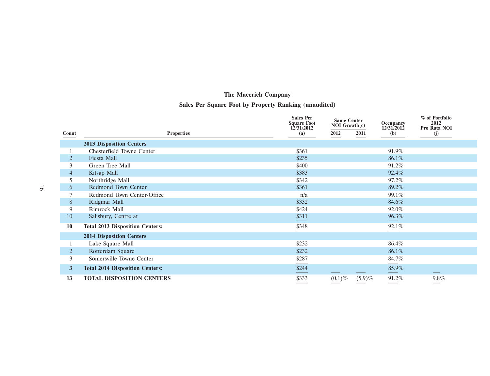## **Sales Per Square Foot by Property Ranking (unaudited)**

|       |                                        | <b>Sales Per</b><br><b>Square Foot</b> | <b>Same Center</b><br>NOI Growth(c) | Occupancy                  | % of Portfolio<br>2012 |
|-------|----------------------------------------|----------------------------------------|-------------------------------------|----------------------------|------------------------|
| Count | <b>Properties</b>                      | 12/31/2012<br>(a)                      | 2012<br>2011                        | 12/31/2012<br>( <b>b</b> ) | Pro Rata NOI<br>(j)    |
|       | <b>2013 Disposition Centers</b>        |                                        |                                     |                            |                        |
|       | Chesterfield Towne Center              | \$361                                  |                                     | 91.9%                      |                        |
|       | Fiesta Mall                            | \$235                                  |                                     | 86.1%                      |                        |
| 3     | Green Tree Mall                        | \$400                                  |                                     | 91.2%                      |                        |
| 4     | Kitsap Mall                            | \$383                                  |                                     | 92.4%                      |                        |
| 5     | Northridge Mall                        | \$342                                  |                                     | 97.2%                      |                        |
| 6     | Redmond Town Center                    | \$361                                  |                                     | 89.2%                      |                        |
|       | Redmond Town Center-Office             | n/a                                    |                                     | 99.1%                      |                        |
| 8     | Ridgmar Mall                           | \$332                                  |                                     | 84.6%                      |                        |
| 9     | Rimrock Mall                           | \$424                                  |                                     | 92.0%                      |                        |
| 10    | Salisbury, Centre at                   | \$311                                  |                                     | $96.3\%$                   |                        |
| 10    | <b>Total 2013 Disposition Centers:</b> | \$348                                  |                                     | 92.1%                      |                        |
|       | <b>2014 Disposition Centers</b>        |                                        |                                     |                            |                        |
|       | Lake Square Mall                       | \$232                                  |                                     | 86.4%                      |                        |
| 2     | Rotterdam Square                       | \$232                                  |                                     | 86.1%                      |                        |
| 3     | Somersville Towne Center               | \$287                                  |                                     | 84.7%                      |                        |
| 3     | <b>Total 2014 Disposition Centers:</b> | \$244                                  |                                     | 85.9%                      |                        |
| 13    | <b>TOTAL DISPOSITION CENTERS</b>       | \$333                                  | $(0.1)\%$<br>(5.9)%                 | 91.2%                      | 9.8%                   |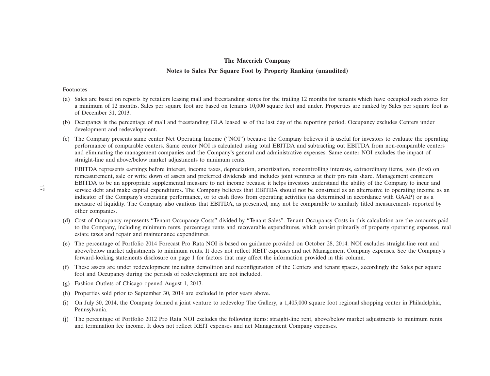## **The Macerich Company Notes to Sales Per Square Foot by Property Ranking (unaudited)**

#### Footnotes

- (a) Sales are based on reports by retailers leasing mall and freestanding stores for the trailing 12 months for tenants which have occupied such stores for a minimum of 12 months. Sales per square foot are based on tenants 10,000 square feet and under. Properties are ranked by Sales per square foot as of December 31, 2013.
- (b) Occupancy is the percentage of mall and freestanding GLA leased as of the last day of the reporting period. Occupancy excludes Centers under development and redevelopment.
- (c) The Company presents same center Net Operating Income (''NOI'') because the Company believes it is useful for investors to evaluate the operating performance of comparable centers. Same center NOI is calculated using total EBITDA and subtracting out EBITDA from non-comparable centers and eliminating the management companies and the Company's general and administrative expenses. Same center NOI excludes the impact of straight-line and above/below market adjustments to minimum rents.

EBITDA represents earnings before interest, income taxes, depreciation, amortization, noncontrolling interests, extraordinary items, gain (loss) on remeasurement, sale or write down of assets and preferred dividends and includes joint ventures at their pro rata share. Management considers EBITDA to be an appropriate supplemental measure to net income because it helps investors understand the ability of the Company to incur and service debt and make capital expenditures. The Company believes that EBITDA should not be construed as an alternative to operating income as an indicator of the Company's operating performance, or to cash flows from operating activities (as determined in accordance with GAAP) or as a measure of liquidity. The Company also cautions that EBITDA, as presented, may not be comparable to similarly titled measurements reported by other companies.

- (d) Cost of Occupancy represents ''Tenant Occupancy Costs'' divided by ''Tenant Sales''. Tenant Occupancy Costs in this calculation are the amounts paid to the Company, including minimum rents, percentage rents and recoverable expenditures, which consist primarily of property operating expenses, real estate taxes and repair and maintenance expenditures.
- (e) The percentage of Portfolio 2014 Forecast Pro Rata NOI is based on guidance provided on October 28, 2014. NOI excludes straight-line rent and above/below market adjustments to minimum rents. It does not reflect REIT expenses and net Management Company expenses. See the Company's forward-looking statements disclosure on page 1 for factors that may affect the information provided in this column.
- (f) These assets are under redevelopment including demolition and reconfiguration of the Centers and tenant spaces, accordingly the Sales per square foot and Occupancy during the periods of redevelopment are not included.
- (g) Fashion Outlets of Chicago opened August 1, 2013.
- (h) Properties sold prior to September 30, 2014 are excluded in prior years above.
- (i) On July 30, 2014, the Company formed a joint venture to redevelop The Gallery, a 1,405,000 square foot regional shopping center in Philadelphia, Pennsylvania.
- (j) The percentage of Portfolio 2012 Pro Rata NOI excludes the following items: straight-line rent, above/below market adjustments to minimum rents and termination fee income. It does not reflect REIT expenses and net Management Company expenses.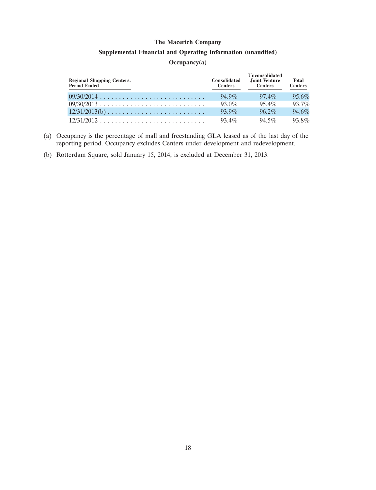#### **Supplemental Financial and Operating Information (unaudited)**

#### **Occupancy(a)**

| <b>Regional Shopping Centers:</b><br>Period Ended | <b>Consolidated</b><br><b>Centers</b> | <b>Unconsolidated</b><br>Joint Venture<br><b>Centers</b> | <b>Total</b><br><b>Centers</b> |
|---------------------------------------------------|---------------------------------------|----------------------------------------------------------|--------------------------------|
|                                                   | $94.9\%$                              | $97.4\%$                                                 | $95.6\%$                       |
|                                                   | $93.0\%$                              | $954\%$                                                  | $93.7\%$                       |
| $12/31/2013(b)$                                   | $939\%$                               | $96.2\%$                                                 | 94.6%                          |
|                                                   | $93.4\%$                              | $94.5\%$                                                 | $93.8\%$                       |

<sup>(</sup>a) Occupancy is the percentage of mall and freestanding GLA leased as of the last day of the reporting period. Occupancy excludes Centers under development and redevelopment.

(b) Rotterdam Square, sold January 15, 2014, is excluded at December 31, 2013.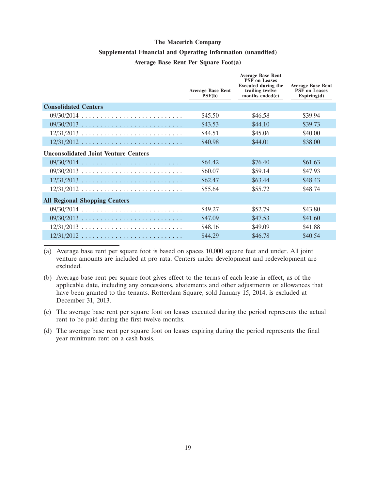#### **Supplemental Financial and Operating Information (unaudited)**

#### **Average Base Rent Per Square Foot(a)**

| <b>Average Base Rent</b><br>PSF(b) | <b>Average Base Rent</b><br><b>PSF</b> on Leases<br><b>Executed during the</b><br>trailing twelve<br>months ended $(c)$ | <b>Average Base Rent</b><br><b>PSF</b> on Leases<br>Expiring(d) |
|------------------------------------|-------------------------------------------------------------------------------------------------------------------------|-----------------------------------------------------------------|
|                                    |                                                                                                                         |                                                                 |
| \$45.50                            | \$46.58                                                                                                                 | \$39.94                                                         |
| \$43.53                            | \$44.10                                                                                                                 | \$39.73                                                         |
| \$44.51                            | \$45.06                                                                                                                 | \$40.00                                                         |
| \$40.98                            | \$44.01                                                                                                                 | \$38.00                                                         |
|                                    |                                                                                                                         |                                                                 |
| \$64.42                            | \$76.40                                                                                                                 | \$61.63                                                         |
| \$60.07                            | \$59.14                                                                                                                 | \$47.93                                                         |
| \$62.47                            | \$63.44                                                                                                                 | \$48.43                                                         |
| \$55.64                            | \$55.72                                                                                                                 | \$48.74                                                         |
|                                    |                                                                                                                         |                                                                 |
| \$49.27                            | \$52.79                                                                                                                 | \$43.80                                                         |
| \$47.09                            | \$47.53                                                                                                                 | \$41.60                                                         |
| \$48.16                            | \$49.09                                                                                                                 | \$41.88                                                         |
| \$44.29                            | \$46.78                                                                                                                 | \$40.54                                                         |
|                                    |                                                                                                                         |                                                                 |

(a) Average base rent per square foot is based on spaces 10,000 square feet and under. All joint venture amounts are included at pro rata. Centers under development and redevelopment are excluded.

(b) Average base rent per square foot gives effect to the terms of each lease in effect, as of the applicable date, including any concessions, abatements and other adjustments or allowances that have been granted to the tenants. Rotterdam Square, sold January 15, 2014, is excluded at December 31, 2013.

(c) The average base rent per square foot on leases executed during the period represents the actual rent to be paid during the first twelve months.

(d) The average base rent per square foot on leases expiring during the period represents the final year minimum rent on a cash basis.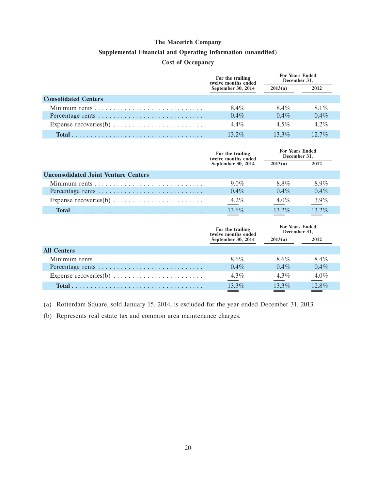#### **Supplemental Financial and Operating Information (unaudited)**

#### **Cost of Occupancy**

|                                                                         | <b>For Years Ended</b><br>For the trailing<br>December 31,<br>twelve months ended |          |          |
|-------------------------------------------------------------------------|-----------------------------------------------------------------------------------|----------|----------|
|                                                                         | September 30, 2014                                                                | 2013(a)  | 2012     |
| <b>Consolidated Centers</b>                                             |                                                                                   |          |          |
|                                                                         | 8.4%                                                                              | 8.4%     | $8.1\%$  |
| Percentage rents                                                        | $0.4\%$                                                                           | $0.4\%$  | $0.4\%$  |
| Expense recoveries(b) $\dots \dots \dots \dots \dots \dots \dots \dots$ | $4.4\%$                                                                           | $4.5\%$  | $4.2\%$  |
|                                                                         | $13.2\%$                                                                          | $13.3\%$ | $12.7\%$ |

|                                                                         | For the trailing<br>twelve months ended | <b>For Years Ended</b><br>December 31, |         |
|-------------------------------------------------------------------------|-----------------------------------------|----------------------------------------|---------|
|                                                                         | September 30, 2014                      | 2013(a)                                | 2012    |
| <b>Unconsolidated Joint Venture Centers</b>                             |                                         |                                        |         |
|                                                                         | $9.0\%$                                 | 8.8%                                   | $8.9\%$ |
| Percentage rents                                                        | $0.4\%$                                 | $0.4\%$                                | $0.4\%$ |
| Expense recoveries(b) $\dots \dots \dots \dots \dots \dots \dots \dots$ | $4.2\%$                                 | $4.0\%$                                | $3.9\%$ |
|                                                                         | $13.6\%$                                | $13.2\%$                               | 132%    |

|                    | For the trailing<br>twelve months ended | <b>For Years Ended</b><br>December 31, |         |
|--------------------|-----------------------------------------|----------------------------------------|---------|
|                    | September 30, 2014                      | 2013(a)                                | 2012    |
| <b>All Centers</b> |                                         |                                        |         |
|                    | 8.6%                                    | $8.6\%$                                | 8.4%    |
|                    | $0.4\%$                                 | $0.4\%$                                | $0.4\%$ |
|                    | $4.3\%$                                 | $4.3\%$                                | 4.0%    |
|                    | 13.3%                                   | 13.3%                                  | 12.8%   |
|                    |                                         |                                        |         |

(a) Rotterdam Square, sold January 15, 2014, is excluded for the year ended December 31, 2013.

(b) Represents real estate tax and common area maintenance charges.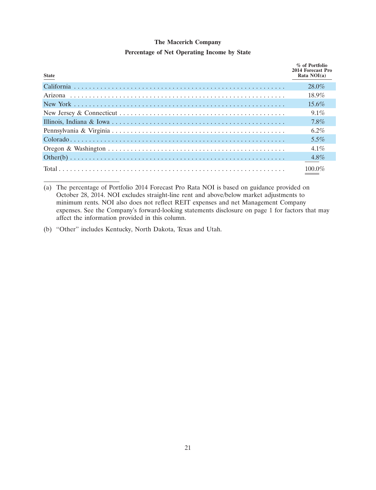#### **Percentage of Net Operating Income by State**

| <b>State</b> | % of Portfolio<br>2014 Forecast Pro<br>Rata $NOI(a)$ |
|--------------|------------------------------------------------------|
|              | $28.0\%$                                             |
|              | $18.9\%$                                             |
|              | $15.6\%$                                             |
|              | $9.1\%$                                              |
|              | $7.8\%$                                              |
|              | $6.2\%$                                              |
|              | $5.5\%$                                              |
|              | $4.1\%$                                              |
|              |                                                      |
|              | 100 $0\%$                                            |

<sup>(</sup>a) The percentage of Portfolio 2014 Forecast Pro Rata NOI is based on guidance provided on October 28, 2014. NOI excludes straight-line rent and above/below market adjustments to minimum rents. NOI also does not reflect REIT expenses and net Management Company expenses. See the Company's forward-looking statements disclosure on page 1 for factors that may affect the information provided in this column.

(b) ''Other'' includes Kentucky, North Dakota, Texas and Utah.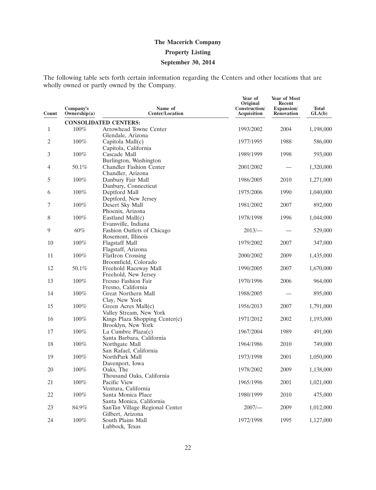# **The Macerich Company Property Listing September 30, 2014**

The following table sets forth certain information regarding the Centers and other locations that are wholly owned or partly owned by the Company.

| Count        | Company's<br>Ownership(a) | Name of<br><b>Center/Location</b>                          | Year of<br>Original<br>Construction/<br>Acquisition | Year of Most<br>Recent<br>Expansion/<br><b>Renovation</b> | <b>Total</b><br>GLA(b) |
|--------------|---------------------------|------------------------------------------------------------|-----------------------------------------------------|-----------------------------------------------------------|------------------------|
|              |                           | <b>CONSOLIDATED CENTERS:</b>                               |                                                     |                                                           |                        |
| $\mathbf{1}$ | 100%                      | Arrowhead Towne Center                                     | 1993/2002                                           | 2004                                                      | 1,198,000              |
|              |                           | Glendale, Arizona                                          |                                                     |                                                           |                        |
| 2            | 100%                      | Capitola Mall(c)                                           | 1977/1995                                           | 1988                                                      | 586,000                |
|              |                           | Capitola, California                                       |                                                     |                                                           |                        |
| 3            | 100%                      | Cascade Mall                                               | 1989/1999                                           | 1998                                                      | 593,000                |
|              |                           | Burlington, Washington                                     |                                                     |                                                           |                        |
| 4            | 50.1%                     | Chandler Fashion Center                                    | 2001/2002                                           |                                                           | 1,320,000              |
|              |                           | Chandler, Arizona                                          |                                                     |                                                           |                        |
| 5            | 100%                      | Danbury Fair Mall                                          | 1986/2005                                           | 2010                                                      | 1,271,000              |
|              | 100%                      | Danbury, Connecticut                                       |                                                     | 1990                                                      |                        |
| 6            |                           | Deptford Mall<br>Deptford, New Jersey                      | 1975/2006                                           |                                                           | 1,040,000              |
| 7            | 100%                      | Desert Sky Mall                                            | 1981/2002                                           | 2007                                                      | 892,000                |
|              |                           | Phoenix, Arizona                                           |                                                     |                                                           |                        |
| 8            | 100%                      | Eastland Mall(c)                                           | 1978/1998                                           | 1996                                                      | 1,044,000              |
|              |                           | Evansville, Indiana                                        |                                                     |                                                           |                        |
| 9            | 60%                       | Fashion Outlets of Chicago                                 | $2013/-$                                            |                                                           | 529,000                |
|              |                           | Rosemont, Illinois                                         |                                                     |                                                           |                        |
| 10           | 100%                      | <b>Flagstaff Mall</b>                                      | 1979/2002                                           | 2007                                                      | 347,000                |
|              |                           | Flagstaff, Arizona                                         |                                                     |                                                           |                        |
| 11           | 100%                      | <b>FlatIron Crossing</b>                                   | 2000/2002                                           | 2009                                                      | 1,435,000              |
|              |                           | Broomfield, Colorado                                       |                                                     |                                                           |                        |
| 12           | 50.1%                     | Freehold Raceway Mall                                      | 1990/2005                                           | 2007                                                      | 1,670,000              |
|              |                           | Freehold, New Jersey                                       |                                                     |                                                           |                        |
| 13           | 100%                      | Fresno Fashion Fair                                        | 1970/1996                                           | 2006                                                      | 964,000                |
|              |                           | Fresno, California                                         |                                                     |                                                           |                        |
| 14           | 100%                      | Great Northern Mall                                        | 1988/2005                                           |                                                           | 895,000                |
| 15           | 100%                      | Clay, New York<br>Green Acres Mall(c)                      | 1956/2013                                           | 2007                                                      | 1,791,000              |
|              |                           | Valley Stream, New York                                    |                                                     |                                                           |                        |
| 16           | 100%                      | Kings Plaza Shopping Center(c)                             | 1971/2012                                           | 2002                                                      | 1,193,000              |
|              |                           | Brooklyn, New York                                         |                                                     |                                                           |                        |
| 17           | 100%                      | La Cumbre Plaza(c)                                         | 1967/2004                                           | 1989                                                      | 491,000                |
|              |                           | Santa Barbara, California                                  |                                                     |                                                           |                        |
| 18           | $100\%$                   | Northgate Mall                                             | 1964/1986                                           | 2010                                                      | 749,000                |
|              |                           | San Rafael, California                                     |                                                     |                                                           |                        |
| 19           | 100%                      | NorthPark Mall                                             | 1973/1998                                           | 2001                                                      | 1,050,000              |
|              |                           | Davenport, Iowa                                            |                                                     |                                                           |                        |
| 20           | 100%                      | Oaks, The                                                  | 1978/2002                                           | 2009                                                      | 1,138,000              |
|              |                           | Thousand Oaks, California                                  |                                                     |                                                           |                        |
| 21           | $100\%$                   | Pacific View                                               | 1965/1996                                           | 2001                                                      | 1,021,000              |
|              |                           | Ventura, California                                        |                                                     |                                                           |                        |
| 22           | $100\%$                   | Santa Monica Place                                         | 1980/1999                                           | 2010                                                      | 475,000                |
| 23           | 84.9%                     | Santa Monica, California<br>SanTan Village Regional Center | $2007$ /-                                           | 2009                                                      | 1,012,000              |
|              |                           | Gilbert, Arizona                                           |                                                     |                                                           |                        |
| 24           | $100\%$                   | South Plains Mall                                          | 1972/1998                                           | 1995                                                      | 1,127,000              |
|              |                           | Lubbock, Texas                                             |                                                     |                                                           |                        |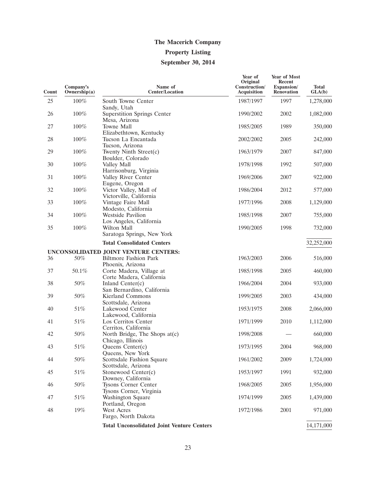# **The Macerich Company Property Listing September 30, 2014**

| Count    | Company's<br>Ownership(a) | Name of<br><b>Center/Location</b>                                        | Year of<br>Original<br>Construction/<br>Acquisition | <b>Year of Most</b><br>Recent<br>Expansion/<br><b>Renovation</b> | <b>Total</b><br>GLA(b) |
|----------|---------------------------|--------------------------------------------------------------------------|-----------------------------------------------------|------------------------------------------------------------------|------------------------|
| 25       | 100%                      | South Towne Center<br>Sandy, Utah                                        | 1987/1997                                           | 1997                                                             | 1,278,000              |
| 26       | $100\%$                   | <b>Superstition Springs Center</b><br>Mesa, Arizona                      | 1990/2002                                           | 2002                                                             | 1,082,000              |
| 27       | $100\%$                   | Towne Mall<br>Elizabethtown, Kentucky                                    | 1985/2005                                           | 1989                                                             | 350,000                |
| 28       | 100%                      | Tucson La Encantada<br>Tucson, Arizona                                   | 2002/2002                                           | 2005                                                             | 242,000                |
| 29       | $100\%$                   | Twenty Ninth Street(c)<br>Boulder, Colorado                              | 1963/1979                                           | 2007                                                             | 847,000                |
| 30       | $100\%$                   | Valley Mall<br>Harrisonburg, Virginia                                    | 1978/1998                                           | 1992                                                             | 507,000                |
| 31       | 100%                      | Valley River Center<br>Eugene, Oregon                                    | 1969/2006                                           | 2007                                                             | 922,000                |
| 32       | $100\%$                   | Victor Valley, Mall of<br>Victorville, California                        | 1986/2004                                           | 2012                                                             | 577,000                |
| 33       | $100\%$                   | Vintage Faire Mall<br>Modesto, California                                | 1977/1996                                           | 2008                                                             | 1,129,000              |
| 34       | 100%                      | <b>Westside Pavilion</b><br>Los Angeles, California                      | 1985/1998                                           | 2007                                                             | 755,000                |
| 35       | 100%                      | Wilton Mall<br>Saratoga Springs, New York                                | 1990/2005                                           | 1998                                                             | 732,000                |
|          |                           | <b>Total Consolidated Centers</b>                                        |                                                     |                                                                  | 32,252,000             |
|          |                           | UNCONSOLIDATED JOINT VENTURE CENTERS:                                    |                                                     |                                                                  |                        |
| 36       | 50%                       | <b>Biltmore Fashion Park</b><br>Phoenix, Arizona                         | 1963/2003                                           | 2006                                                             | 516,000                |
| 37       | 50.1%                     | Corte Madera, Village at<br>Corte Madera, California                     | 1985/1998                                           | 2005                                                             | 460,000                |
| 38       | 50%                       | Inland Center(c)<br>San Bernardino, California                           | 1966/2004                                           | 2004                                                             | 933,000                |
| 39       | 50%                       | Kierland Commons<br>Scottsdale, Arizona                                  | 1999/2005                                           | 2003                                                             | 434,000                |
| 40       | 51%                       | Lakewood Center<br>Lakewood, California                                  | 1953/1975                                           | 2008                                                             | 2,066,000              |
| 41       | 51%                       | Los Cerritos Center<br>Cerritos, California                              | 1971/1999                                           | 2010                                                             | 1,112,000              |
| 42       | 50%                       | North Bridge, The Shops at(c)<br>Chicago, Illinois                       | 1998/2008                                           |                                                                  | 660,000                |
| 43       | 51%<br>$50\%$             | Queens Center(c)<br>Queens, New York                                     | 1973/1995                                           | 2004<br>2009                                                     | 968,000                |
| 44<br>45 | $51\%$                    | Scottsdale Fashion Square<br>Scottsdale, Arizona<br>Stonewood Center(c)  | 1961/2002<br>1953/1997                              | 1991                                                             | 1,724,000<br>932,000   |
| 46       | $50\%$                    | Downey, California<br>Tysons Corner Center                               | 1968/2005                                           | 2005                                                             | 1,956,000              |
| 47       | $51\%$                    | Tysons Corner, Virginia<br>Washington Square                             | 1974/1999                                           | 2005                                                             | 1,439,000              |
| 48       | 19%                       | Portland, Oregon<br>West Acres                                           | 1972/1986                                           | 2001                                                             | 971,000                |
|          |                           | Fargo, North Dakota<br><b>Total Unconsolidated Joint Venture Centers</b> |                                                     |                                                                  | 14,171,000             |
|          |                           |                                                                          |                                                     |                                                                  |                        |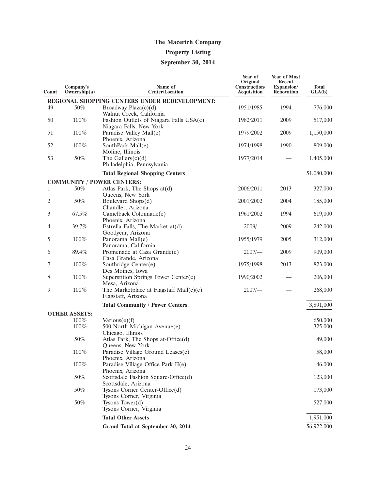## **Property Listing**

## **September 30, 2014**

| Count | Company's<br>Ownership $(a)$ | Name of<br><b>Center/Location</b>                                          | Year of<br>Original<br>Construction/<br><b>Acquisition</b> | Year of Most<br>Recent<br>Expansion/<br><b>Renovation</b> | <b>Total</b><br>GLA(b) |
|-------|------------------------------|----------------------------------------------------------------------------|------------------------------------------------------------|-----------------------------------------------------------|------------------------|
|       |                              | REGIONAL SHOPPING CENTERS UNDER REDEVELOPMENT:                             |                                                            |                                                           |                        |
| 49    | 50%                          | Broadway Plaza $(c)(d)$<br>Walnut Creek, California                        | 1951/1985                                                  | 1994                                                      | 776,000                |
| 50    | 100%                         | Fashion Outlets of Niagara Falls USA(e)<br>Niagara Falls, New York         | 1982/2011                                                  | 2009                                                      | 517,000                |
| 51    | 100%                         | Paradise Valley Mall(e)<br>Phoenix, Arizona                                | 1979/2002                                                  | 2009                                                      | 1,150,000              |
| 52    | 100%                         | SouthPark Mall(e)<br>Moline, Illinois                                      | 1974/1998                                                  | 1990                                                      | 809,000                |
| 53    | 50%                          | The Gallery $(c)(d)$<br>Philadelphia, Pennsylvania                         | 1977/2014                                                  |                                                           | 1,405,000              |
|       |                              | <b>Total Regional Shopping Centers</b>                                     |                                                            |                                                           | 51,080,000             |
|       |                              | <b>COMMUNITY / POWER CENTERS:</b>                                          |                                                            |                                                           |                        |
| 1     | 50%                          | Atlas Park, The Shops at(d)<br>Queens, New York                            | 2006/2011                                                  | 2013                                                      | 327,000                |
| 2     | 50%                          | Boulevard Shops(d)<br>Chandler, Arizona                                    | 2001/2002                                                  | 2004                                                      | 185,000                |
| 3     | 67.5%                        | Camelback Colonnade(e)<br>Phoenix, Arizona                                 | 1961/2002                                                  | 1994                                                      | 619,000                |
| 4     | 39.7%                        | Estrella Falls, The Market at(d)<br>Goodyear, Arizona                      | $2009$ /-                                                  | 2009                                                      | 242,000                |
| 5     | 100%                         | Panorama Mall(e)<br>Panorama, California                                   | 1955/1979                                                  | 2005                                                      | 312,000                |
| 6     | 89.4%                        | Promenade at Casa Grande(e)<br>Casa Grande, Arizona                        | $2007$ /-                                                  | 2009                                                      | 909,000                |
| 7     | $100\%$                      | Southridge Center(e)<br>Des Moines, Iowa                                   | 1975/1998                                                  | 2013                                                      | 823,000                |
| 8     | 100%                         | Superstition Springs Power Center(e)<br>Mesa, Arizona                      | 1990/2002                                                  |                                                           | 206,000                |
| 9     | 100%                         | The Marketplace at Flagstaff Mall $(c)(e)$<br>Flagstaff, Arizona           | $2007$ /-                                                  |                                                           | 268,000                |
|       |                              | <b>Total Community / Power Centers</b>                                     |                                                            |                                                           | 3,891,000              |
|       | <b>OTHER ASSETS:</b>         |                                                                            |                                                            |                                                           |                        |
|       | 100%<br>100%                 | $\text{Various}(e)(f)$<br>500 North Michigan Avenue(e)                     |                                                            |                                                           | 650,000<br>325,000     |
|       | 50%                          | Chicago, Illinois<br>Atlas Park, The Shops at-Office(d)                    |                                                            |                                                           | 49,000                 |
|       | 100%                         | Queens, New York<br>Paradise Village Ground Leases(e)                      |                                                            |                                                           | 58,000                 |
|       | 100%                         | Phoenix, Arizona<br>Paradise Village Office Park II(e)<br>Phoenix, Arizona |                                                            |                                                           | 46,000                 |
|       | 50%                          | Scottsdale Fashion Square-Office(d)<br>Scottsdale, Arizona                 |                                                            |                                                           | 123,000                |
|       | 50%                          | Tysons Corner Center-Office(d)<br>Tysons Corner, Virginia                  |                                                            |                                                           | 173,000                |
|       | $50\%$                       | Tysons Tower $(d)$<br>Tysons Corner, Virginia                              |                                                            |                                                           | 527,000                |
|       |                              | <b>Total Other Assets</b>                                                  |                                                            |                                                           | 1,951,000              |
|       |                              | Grand Total at September 30, 2014                                          |                                                            |                                                           | 56,922,000             |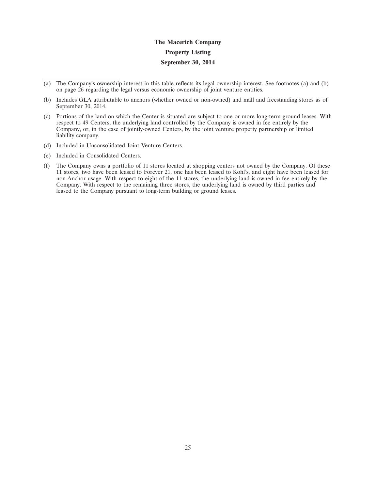# **The Macerich Company Property Listing September 30, 2014**

- (a) The Company's ownership interest in this table reflects its legal ownership interest. See footnotes (a) and (b) on page 26 regarding the legal versus economic ownership of joint venture entities.
- (b) Includes GLA attributable to anchors (whether owned or non-owned) and mall and freestanding stores as of September 30, 2014.
- (c) Portions of the land on which the Center is situated are subject to one or more long-term ground leases. With respect to 49 Centers, the underlying land controlled by the Company is owned in fee entirely by the Company, or, in the case of jointly-owned Centers, by the joint venture property partnership or limited liability company.
- (d) Included in Unconsolidated Joint Venture Centers.
- (e) Included in Consolidated Centers.
- (f) The Company owns a portfolio of 11 stores located at shopping centers not owned by the Company. Of these 11 stores, two have been leased to Forever 21, one has been leased to Kohl's, and eight have been leased for non-Anchor usage. With respect to eight of the 11 stores, the underlying land is owned in fee entirely by the Company. With respect to the remaining three stores, the underlying land is owned by third parties and leased to the Company pursuant to long-term building or ground leases.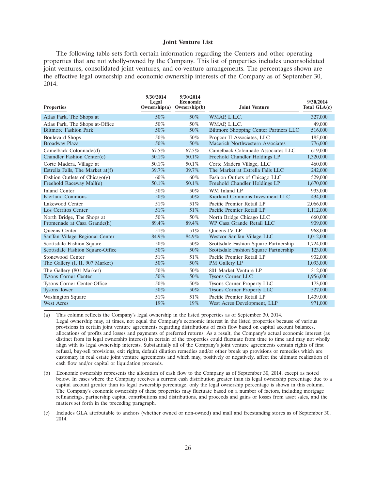#### **Joint Venture List**

The following table sets forth certain information regarding the Centers and other operating properties that are not wholly-owned by the Company. This list of properties includes unconsolidated joint ventures, consolidated joint ventures, and co-venture arrangements. The percentages shown are the effective legal ownership and economic ownership interests of the Company as of September 30, 2014.

| <b>Properties</b>                | 9/30/2014<br>Legal<br>Ownership(a) | 9/30/2014<br>Economic<br>Ownership(b) | <b>Joint Venture</b>                  | 9/30/2014<br>Total $GLA(c)$ |
|----------------------------------|------------------------------------|---------------------------------------|---------------------------------------|-----------------------------|
|                                  |                                    |                                       |                                       |                             |
| Atlas Park, The Shops at         | 50%                                | 50%                                   | WMAP, L.L.C.                          | 327,000                     |
| Atlas Park, The Shops at-Office  | 50%                                | 50%                                   | WMAP, L.L.C.                          | 49,000                      |
| <b>Biltmore Fashion Park</b>     | 50%                                | 50%                                   | Biltmore Shopping Center Partners LLC | 516,000                     |
| <b>Boulevard Shops</b>           | 50%                                | 50%                                   | Propcor II Associates, LLC            | 185,000                     |
| <b>Broadway Plaza</b>            | 50%                                | 50%                                   | Macerich Northwestern Associates      | 776,000                     |
| Camelback Colonnade(d)           | 67.5%                              | 67.5%                                 | Camelback Colonnade Associates LLC    | 619,000                     |
| Chandler Fashion Center(e)       | 50.1%                              | 50.1%                                 | Freehold Chandler Holdings LP         | 1,320,000                   |
| Corte Madera, Village at         | 50.1%                              | 50.1%                                 | Corte Madera Village, LLC             | 460,000                     |
| Estrella Falls, The Market at(f) | 39.7%                              | 39.7%                                 | The Market at Estrella Falls LLC      | 242,000                     |
| Fashion Outlets of Chicago $(g)$ | 60%                                | 60%                                   | Fashion Outlets of Chicago LLC        | 529,000                     |
| Freehold Raceway Mall(e)         | 50.1%                              | 50.1%                                 | Freehold Chandler Holdings LP         | 1,670,000                   |
| <b>Inland Center</b>             | 50%                                | 50%                                   | WM Inland LP                          | 933,000                     |
| <b>Kierland Commons</b>          | 50%                                | 50%                                   | Kierland Commons Investment LLC       | 434,000                     |
| Lakewood Center                  | 51%                                | 51%                                   | Pacific Premier Retail LP             | 2,066,000                   |
| Los Cerritos Center              | 51%                                | 51%                                   | Pacific Premier Retail LP             | 1,112,000                   |
| North Bridge, The Shops at       | 50%                                | 50%                                   | North Bridge Chicago LLC              | 660,000                     |
| Promenade at Casa Grande(h)      | 89.4%                              | 89.4%                                 | WP Casa Grande Retail LLC             | 909,000                     |
| <b>Oueens</b> Center             | 51%                                | 51%                                   | Oueens JV LP                          | 968,000                     |
| SanTan Village Regional Center   | 84.9%                              | 84.9%                                 | Westcor SanTan Village LLC            | 1,012,000                   |
| Scottsdale Fashion Square        | 50%                                | 50%                                   | Scottsdale Fashion Square Partnership | 1,724,000                   |
| Scottsdale Fashion Square-Office | 50%                                | 50%                                   | Scottsdale Fashion Square Partnership | 123,000                     |
| Stonewood Center                 | 51%                                | 51%                                   | Pacific Premier Retail LP             | 932,000                     |
| The Gallery (I, II, 907 Market)  | 50%                                | 50%                                   | PM Gallery LP                         | 1,093,000                   |
| The Gallery (801 Market)         | 50%                                | 50%                                   | 801 Market Venture LP                 | 312,000                     |
| <b>Tysons Corner Center</b>      | 50%                                | 50%                                   | <b>Tysons Corner LLC</b>              | 1,956,000                   |
| Tysons Corner Center-Office      | 50%                                | 50%                                   | <b>Tysons Corner Property LLC</b>     | 173,000                     |
| <b>Tysons Tower</b>              | 50%                                | 50%                                   | <b>Tysons Corner Property LLC</b>     | 527,000                     |
| Washington Square                | 51%                                | 51%                                   | Pacific Premier Retail LP             | 1,439,000                   |
| <b>West Acres</b>                | 19%                                | $19\%$                                | West Acres Development, LLP           | 971,000                     |

(a) This column reflects the Company's legal ownership in the listed properties as of September 30, 2014. Legal ownership may, at times, not equal the Company's economic interest in the listed properties because of various provisions in certain joint venture agreements regarding distributions of cash flow based on capital account balances, allocations of profits and losses and payments of preferred returns. As a result, the Company's actual economic interest (as distinct from its legal ownership interest) in certain of the properties could fluctuate from time to time and may not wholly align with its legal ownership interests. Substantially all of the Company's joint venture agreements contain rights of first refusal, buy-sell provisions, exit rights, default dilution remedies and/or other break up provisions or remedies which are customary in real estate joint venture agreements and which may, positively or negatively, affect the ultimate realization of cash flow and/or capital or liquidation proceeds.

- (b) Economic ownership represents the allocation of cash flow to the Company as of September 30, 2014, except as noted below. In cases where the Company receives a current cash distribution greater than its legal ownership percentage due to a capital account greater than its legal ownership percentage, only the legal ownership percentage is shown in this column. The Company's economic ownership of these properties may fluctuate based on a number of factors, including mortgage refinancings, partnership capital contributions and distributions, and proceeds and gains or losses from asset sales, and the matters set forth in the preceding paragraph.
- (c) Includes GLA attributable to anchors (whether owned or non-owned) and mall and freestanding stores as of September 30, 2014.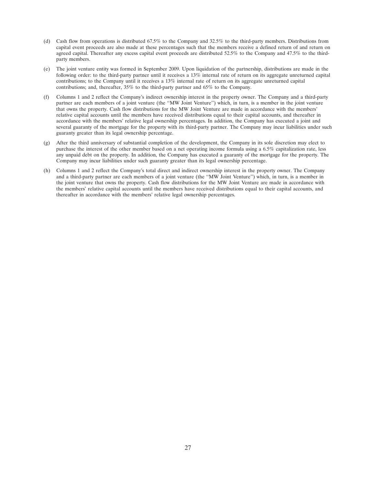- (d) Cash flow from operations is distributed 67.5% to the Company and 32.5% to the third-party members. Distributions from capital event proceeds are also made at these percentages such that the members receive a defined return of and return on agreed capital. Thereafter any excess capital event proceeds are distributed 52.5% to the Company and 47.5% to the thirdparty members.
- (e) The joint venture entity was formed in September 2009. Upon liquidation of the partnership, distributions are made in the following order: to the third-party partner until it receives a 13% internal rate of return on its aggregate unreturned capital contributions; to the Company until it receives a 13% internal rate of return on its aggregate unreturned capital contributions; and, thereafter, 35% to the third-party partner and 65% to the Company.
- (f) Columns 1 and 2 reflect the Company's indirect ownership interest in the property owner. The Company and a third-party partner are each members of a joint venture (the ''MW Joint Venture'') which, in turn, is a member in the joint venture that owns the property. Cash flow distributions for the MW Joint Venture are made in accordance with the members' relative capital accounts until the members have received distributions equal to their capital accounts, and thereafter in accordance with the members' relative legal ownership percentages. In addition, the Company has executed a joint and several guaranty of the mortgage for the property with its third-party partner. The Company may incur liabilities under such guaranty greater than its legal ownership percentage.
- (g) After the third anniversary of substantial completion of the development, the Company in its sole discretion may elect to purchase the interest of the other member based on a net operating income formula using a 6.5% capitalization rate, less any unpaid debt on the property. In addition, the Company has executed a guaranty of the mortgage for the property. The Company may incur liabilities under such guaranty greater than its legal ownership percentage.
- (h) Columns 1 and 2 reflect the Company's total direct and indirect ownership interest in the property owner. The Company and a third-party partner are each members of a joint venture (the ''MW Joint Venture'') which, in turn, is a member in the joint venture that owns the property. Cash flow distributions for the MW Joint Venture are made in accordance with the members' relative capital accounts until the members have received distributions equal to their capital accounts, and thereafter in accordance with the members' relative legal ownership percentages.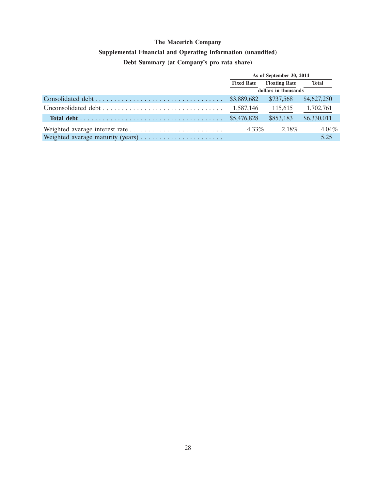## **Supplemental Financial and Operating Information (unaudited)**

## **Debt Summary (at Company's pro rata share)**

| As of September 30, 2014                  |           |              |  |
|-------------------------------------------|-----------|--------------|--|
| <b>Floating Rate</b><br><b>Fixed Rate</b> |           | <b>Total</b> |  |
| dollars in thousands                      |           |              |  |
|                                           | \$737,568 | \$4,627,250  |  |
| 1,587,146                                 | 115,615   | 1,702,761    |  |
|                                           | \$853,183 | \$6,330,011  |  |
| $4.33\%$                                  | 2.18%     | $4.04\%$     |  |
|                                           |           | 5.25         |  |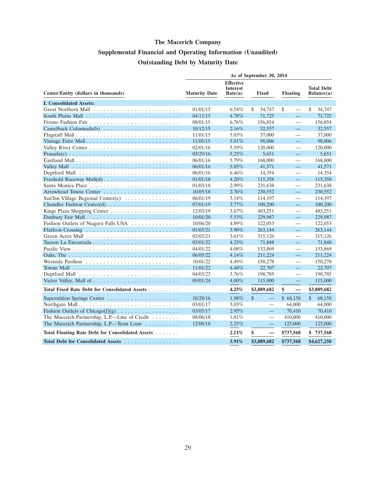# **Supplemental Financial and Operating Information (Unaudited) Outstanding Debt by Maturity Date**

|                                                  | As of September 30, 2014 |                                                |                           |                                |                                 |  |  |
|--------------------------------------------------|--------------------------|------------------------------------------------|---------------------------|--------------------------------|---------------------------------|--|--|
| Center/Entity (dollars in thousands)             | <b>Maturity Date</b>     | <b>Effective</b><br><b>Interest</b><br>Rate(a) | <b>Fixed</b>              | <b>Floating</b>                | <b>Total Debt</b><br>Balance(a) |  |  |
| <b>I. Consolidated Assets:</b>                   |                          |                                                |                           |                                |                                 |  |  |
|                                                  | 01/01/15                 | 6.54%                                          | \$<br>34,747              | \$                             | \$<br>34,747                    |  |  |
|                                                  | 04/11/15                 | 4.78%                                          | 71,725                    | $\equiv$                       | 71,725                          |  |  |
|                                                  | 08/01/15                 | $6.76\%$                                       | 156,854                   |                                | 156,854                         |  |  |
| Camelback Colonnade(b)                           | 10/12/15                 | 2.16%                                          | 32,557                    | $\equiv$                       | 32,557                          |  |  |
|                                                  | 11/01/15                 | 5.03%                                          | 37,000                    |                                | 37,000                          |  |  |
| Vintage Faire Mall                               | 11/05/15                 | 5.81%                                          | 98,006                    | $\equiv$                       | 98,006                          |  |  |
|                                                  | 02/01/16                 | 5.59%                                          | 120,000                   |                                | 120,000                         |  |  |
|                                                  | 03/29/16                 | 5.25%                                          | 5,651                     | $\equiv$                       | 5,651                           |  |  |
|                                                  | 06/01/16                 | 5.79%                                          | 168,000                   |                                | 168,000                         |  |  |
|                                                  | 06/01/16                 | 5.85%                                          | 41,571                    | $\equiv$                       | 41,571                          |  |  |
|                                                  | 06/01/16                 | $6.46\%$                                       | 14,354                    | $\qquad \qquad$                | 14,354                          |  |  |
|                                                  | 01/01/18                 | 4.20%                                          | 115,358                   | $\equiv$                       | 115,358                         |  |  |
|                                                  | 01/03/18                 | 2.99%                                          | 231,638                   |                                | 231,638                         |  |  |
|                                                  | 10/05/18                 | 2.76%                                          | 230,552                   | $\equiv$                       | 230,552                         |  |  |
| SanTan Village Regional Center(e)                | 06/01/19                 | 3.14%                                          | 114,197                   |                                | 114,197                         |  |  |
|                                                  | 07/01/19                 | 3.77%                                          | 100,200                   | 二                              | 100,200                         |  |  |
|                                                  | 12/03/19                 | 3.67%                                          | 483,251                   | $\qquad \qquad$                | 483,251                         |  |  |
|                                                  | 10/01/20                 | $5.53\%$                                       | 229,987                   | $\equiv$                       | 229,987                         |  |  |
| Fashion Outlets of Niagara Falls USA             | 10/06/20                 | 4.89%                                          | 122,053                   | $\overbrace{\phantom{12333}}$  | 122,053                         |  |  |
|                                                  | 01/05/21                 | 3.90%                                          | 263,144                   | ᆖ                              | 263,144                         |  |  |
|                                                  | 02/03/21                 | 3.61%                                          | 315,126                   |                                | 315,126                         |  |  |
|                                                  | 03/01/22                 | $4.23\%$                                       | 71,848                    | $\equiv$                       | 71,848                          |  |  |
|                                                  | 04/01/22                 | 4.08%                                          | 133,869                   | $\overline{\phantom{0}}$       | 133,869                         |  |  |
|                                                  | 06/05/22                 | 4.14%                                          | 211,224                   | 二                              | 211,224                         |  |  |
|                                                  | 10/01/22                 | 4.49%                                          | 150,278                   | $\overline{\phantom{0}}$       | 150,278                         |  |  |
|                                                  | 11/01/22                 | 4.48%                                          | 22,707                    | 二                              | 22,707                          |  |  |
|                                                  | 04/03/23                 | $3.76\%$                                       | 198,785                   | $\overline{\phantom{0}}$       | 198,785                         |  |  |
|                                                  | 09/01/24                 | $4.00\%$                                       | 115,000                   | $\equiv$                       | 115,000                         |  |  |
| Total Fixed Rate Debt for Consolidated Assets    |                          | 4.25%                                          | \$3,889,682               | \$<br>$\overline{\phantom{0}}$ | \$3,889,682                     |  |  |
|                                                  | 10/28/16                 | 1.98%                                          | $\mathcal{S}$<br>$\equiv$ | \$68,158                       | $\mathbb{S}$<br>68,158          |  |  |
|                                                  | 03/01/17                 | $3.03\%$                                       | $\overline{\phantom{0}}$  | 64,000                         | 64,000                          |  |  |
|                                                  | 03/05/17                 | 2.95%                                          | $\overline{\phantom{0}}$  | 70,410                         | 70,410                          |  |  |
| The Macerich Partnership, L.P.-Line of Credit    | 08/06/18                 | 1.81%                                          | $\overline{\phantom{0}}$  | 410,000                        | 410,000                         |  |  |
| The Macerich Partnership, L.P.—Term Loan         | 12/08/18                 | 2.25%                                          |                           | 125,000                        | 125,000                         |  |  |
| Total Floating Rate Debt for Consolidated Assets |                          | 2.11%                                          | \$<br>—                   | \$737,568                      | \$737,568                       |  |  |
| Total Debt for Consolidated Assets               |                          | 3.91%                                          | \$3,889,682               | \$737,568                      | \$4,627,250                     |  |  |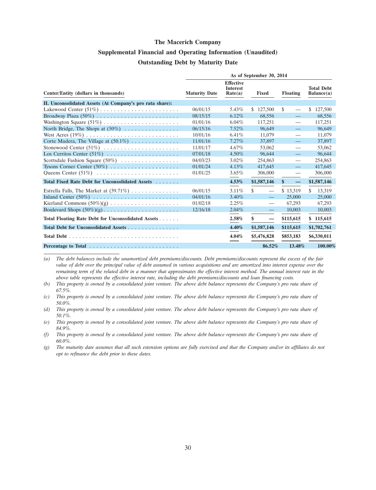## **Supplemental Financial and Operating Information (Unaudited) Outstanding Debt by Maturity Date**

|                                                                   | As of September 30, 2014 |                                                |                                |                          |                                 |  |  |
|-------------------------------------------------------------------|--------------------------|------------------------------------------------|--------------------------------|--------------------------|---------------------------------|--|--|
| Center/Entity (dollars in thousands)                              | <b>Maturity Date</b>     | <b>Effective</b><br><b>Interest</b><br>Rate(a) | <b>Fixed</b>                   | <b>Floating</b>          | <b>Total Debt</b><br>Balance(a) |  |  |
| II. Unconsolidated Assets (At Company's pro rata share):          |                          |                                                |                                |                          |                                 |  |  |
|                                                                   | 06/01/15                 | 5.43%                                          | \$127,500                      | \$                       | 127,500<br>S.                   |  |  |
|                                                                   | 08/15/15                 | $6.12\%$                                       | 68.556                         | $\qquad \qquad -$        | 68,556                          |  |  |
|                                                                   | 01/01/16                 | $6.04\%$                                       | 117.251                        | $\overline{\phantom{0}}$ | 117,251                         |  |  |
| North Bridge, The Shops at $(50\%) \dots \dots \dots \dots \dots$ | 06/15/16                 | $7.52\%$                                       | 96,649                         | $\overline{\phantom{m}}$ | 96,649                          |  |  |
|                                                                   | 10/01/16                 | $6.41\%$                                       | 11,079                         | —                        | 11,079                          |  |  |
| Corte Madera, The Village at $(50.1\%)$                           | 11/01/16                 | 7.27%                                          | 37,897                         |                          | 37,897                          |  |  |
|                                                                   | 11/01/17                 | 4.67%                                          | 53,062                         | $\overline{\phantom{0}}$ | 53,062                          |  |  |
|                                                                   | 07/01/18                 | $4.50\%$                                       | 96,644                         | $\qquad \qquad -$        | 96.644                          |  |  |
| Scottsdale Fashion Square (50%)                                   | 04/03/23                 | $3.02\%$                                       | 254,863                        | $\overline{\phantom{0}}$ | 254,863                         |  |  |
|                                                                   | 01/01/24                 | 4.13%                                          | 417,645                        | $\overline{\phantom{0}}$ | 417,645                         |  |  |
|                                                                   | 01/01/25                 | $3.65\%$                                       | 306,000                        | —                        | 306,000                         |  |  |
| Total Fixed Rate Debt for Unconsolidated Assets                   |                          | 4.53%                                          | \$1,587,146                    | $\mathbf{\$}$            | \$1,587,146                     |  |  |
| Estrella Falls, The Market at $(39.71\%) \dots \dots \dots \dots$ | 06/01/15                 | $3.11\%$                                       | \$                             | \$13,319                 | \$.<br>13,319                   |  |  |
| Inland Center $(50\%)$                                            | 04/01/16                 | $3.40\%$                                       | $\equiv$                       | 25,000                   | 25,000                          |  |  |
|                                                                   | 01/02/18                 | 2.25%                                          |                                | 67,293                   | 67,293                          |  |  |
|                                                                   | 12/16/18                 | 2.04%                                          | $\overline{\phantom{m}}$       | 10,003                   | 10,003                          |  |  |
| Total Floating Rate Debt for Unconsolidated Assets                |                          | 2.58%                                          | \$<br>$\overline{\phantom{m}}$ | \$115,615                | \$115,615                       |  |  |
| Total Debt for Unconsolidated Assets                              |                          | 4.40%                                          | \$1,587,146                    | \$115,615                | \$1,702,761                     |  |  |
|                                                                   |                          | 4.04%<br>$=$                                   | \$5,476,828                    | \$853,183                | \$6,330,011                     |  |  |
|                                                                   |                          |                                                | 86.52%                         | 13.48%                   | 100.00%                         |  |  |

*(a) The debt balances include the unamortized debt premiums/discounts. Debt premiums/discounts represent the excess of the fair value of debt over the principal value of debt assumed in various acquisitions and are amortized into interest expense over the remaining term of the related debt in a manner that approximates the effective interest method. The annual interest rate in the above table represents the effective interest rate, including the debt premiums/discounts and loan financing costs.*

*(b) This property is owned by a consolidated joint venture. The above debt balance represents the Company's pro rata share of 67.5%.*

*(f) This property is owned by a consolidated joint venture. The above debt balance represents the Company's pro rata share of 60.0%.*

*(g) The maturity date assumes that all such extension options are fully exercised and that the Company and/or its affiliates do not opt to refinance the debt prior to these dates.*

*<sup>(</sup>c) This property is owned by a consolidated joint venture. The above debt balance represents the Company's pro rata share of 50.0%.*

*<sup>(</sup>d) This property is owned by a consolidated joint venture. The above debt balance represents the Company's pro rata share of 50.1%.*

*<sup>(</sup>e) This property is owned by a consolidated joint venture. The above debt balance represents the Company's pro rata share of 84.9%.*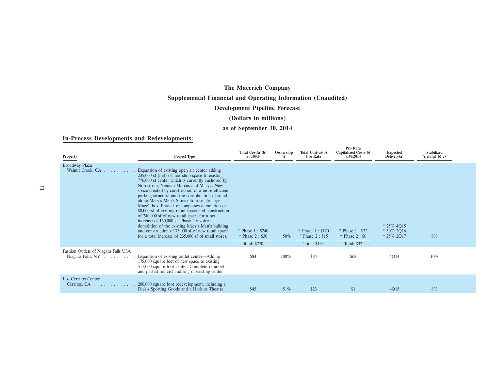# **The Macerich Company Supplemental Financial and Operating Information (Unaudited)**

## **Development Pipeline Forecast**

## **(Dollars in millions)**

## **as of September 30, 2014**

#### **In-Process Developments and Redevelopments:**

| <b>Property</b>                                                               | Project Type                                                                                                                                                                                                                                                                                                                                                                                                                                                                                                                                                                                                                                                                                                                   | Total $Cost(a)(b)$<br>at 100%                           | Ownership<br>$\%$ | Total $Cost(a)(b)$<br>Pro Rata                      | Pro Rata<br>Capitalized Costs(b)<br>9/30/2014              | <b>Expected</b><br>Deliverv(a)                  | <b>Stabilized</b><br>Yield(a)(b)(c) |  |
|-------------------------------------------------------------------------------|--------------------------------------------------------------------------------------------------------------------------------------------------------------------------------------------------------------------------------------------------------------------------------------------------------------------------------------------------------------------------------------------------------------------------------------------------------------------------------------------------------------------------------------------------------------------------------------------------------------------------------------------------------------------------------------------------------------------------------|---------------------------------------------------------|-------------------|-----------------------------------------------------|------------------------------------------------------------|-------------------------------------------------|-------------------------------------|--|
| Broadway Plaza<br>Walnut Creek, CA                                            | Expansion of existing open air center adding<br>$235,000$ sf (net) of new shop space to existing<br>776,000 sf center which is currently anchored by<br>Nordstrom, Neiman Marcus and Macy's. New<br>space created by construction of a more efficient<br>parking structure and the consolidation of stand-<br>alone Macy's Men's Store into a single larger<br>Macy's box. Phase I encompasses demolition of<br>80,000 sf of existing retail space and construction<br>of 240,000 sf of new retail space for a net<br>increase of 160,000 sf. Phase 2 involves<br>demolition of the existing Macy's Men's building<br>and construction of 75,000 sf of new retail space<br>for a total increase of 235,000 sf of small stores. | * Phase $1: $240$<br>$*$ Phase 2 : \$30<br>Total: \$270 | 50%               | * Phase $1: $120$<br>Phase $2: $15$<br>Total: \$135 | * Phase 1: \$32<br>$*$ Phase 2 : \$0<br><b>Total: \$32</b> | $* 25\% 4015$<br>$* 50\% 2016$<br>$* 25\% 2017$ | 9%                                  |  |
| Fashion Outlets of Niagara Falls USA<br>Niagara Falls, $NY \dots \dots \dots$ | Expansion of existing outlet center—Adding<br>175,000 square feet of new space to existing<br>517,000 square foot center. Complete remodel<br>and partial remerchandising of existing center                                                                                                                                                                                                                                                                                                                                                                                                                                                                                                                                   | \$84                                                    | 100%              | \$84                                                | \$68                                                       | 4Q14                                            | $10\%$                              |  |
| Los Cerritos Center<br>Cerritos, CA                                           | 200,000 square foot redevelopment, including a<br>Dick's Sporting Goods and a Harkins Theatre                                                                                                                                                                                                                                                                                                                                                                                                                                                                                                                                                                                                                                  | \$45                                                    | 51%               | \$23                                                | \$1                                                        | 4Q15                                            | 8%                                  |  |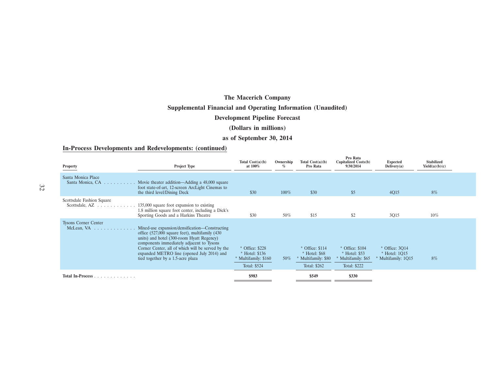## **Supplemental Financial and Operating Information (Unaudited)**

## **Development Pipeline Forecast**

#### **(Dollars in millions)**

#### **as of September 30, 2014**

#### **In-Process Developments and Redevelopments: (continued)**

| Property                                                              | Project Type                                                                                                                                                                                                                                                                                                                             | Total $Cost(a)(b)$<br>at 100%                                           | Ownership<br>$\%$ | Total $Cost(a)(b)$<br>Pro Rata                                             | Pro Rata<br>Capitalized Costs(b)<br>9/30/2014                           | <b>Expected</b><br>Delivery(a)                       | <b>Stabilized</b><br>Yield(a)(b)(c) |
|-----------------------------------------------------------------------|------------------------------------------------------------------------------------------------------------------------------------------------------------------------------------------------------------------------------------------------------------------------------------------------------------------------------------------|-------------------------------------------------------------------------|-------------------|----------------------------------------------------------------------------|-------------------------------------------------------------------------|------------------------------------------------------|-------------------------------------|
| Santa Monica Place<br>Santa Monica, CA<br>and a straight              | Movie theater addition—Adding a 48,000 square<br>foot state-of-art, 12-screen ArcLight Cinemas to<br>the third level/Dining Deck                                                                                                                                                                                                         | \$30                                                                    | $100\%$           | \$30                                                                       | \$5                                                                     | 4Q15                                                 | 8%                                  |
| Scottsdale Fashion Square<br>Scottsdale, $AZ \dots \dots \dots \dots$ | 135,000 square foot expansion to existing<br>1.8 million square foot center, including a Dick's<br>Sporting Goods and a Harkins Theatre                                                                                                                                                                                                  | \$30                                                                    | 50%               | \$15                                                                       | \$2                                                                     | 3Q15                                                 | $10\%$                              |
| <b>Tysons Corner Center</b><br>McLean, $VA$                           | Mixed-use expansion/densification—Constructing<br>office $(527,000)$ square feet), multifamily $(430)$<br>units) and hotel (300-room Hyatt Regency)<br>components immediately adjacent to Tysons<br>Corner Center, all of which will be served by the<br>expanded METRO line (opened July 2014) and<br>tied together by a 1.5-acre plaza | * Office: \$228<br>Hotel: \$136<br>* Multifamily: \$160<br>Total: \$524 | $50\%$            | $*$ Office: \$114<br>$*$ Hotel: $$68$<br>Multifamily: \$80<br>Total: \$262 | * Office: \$104<br>$*$ Hotel: \$53<br>Multifamily: \$65<br>Total: \$222 | * Office: 3014<br>* Hotel: 1015<br>Multifamily: 1Q15 | 8%                                  |
| Total In-Process                                                      |                                                                                                                                                                                                                                                                                                                                          | \$983                                                                   |                   | \$549                                                                      | \$330                                                                   |                                                      |                                     |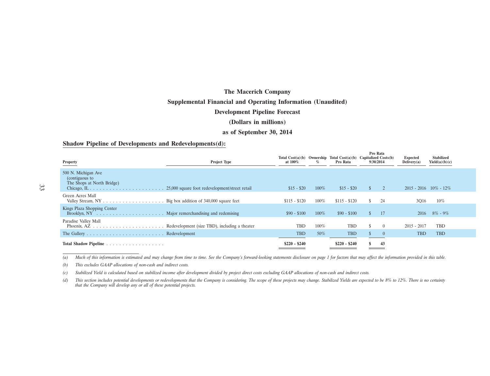# **The Macerich Company Supplemental Financial and Operating Information (Unaudited) Development Pipeline Forecast**

#### **(Dollars in millions)**

#### **as of September 30, 2014**

#### **Shadow Pipeline of Developments and Redevelopments(d):**

| Property                                                                                                                                                   | <b>Project Type</b>                            | at $100\%$    | $\%$    | Total $Cost(a)(b)$ Ownership Total $Cost(a)(b)$ Capitalized Costs $(b)$<br>Pro Rata |               | Pro Rata<br>9/30/2014 | <b>Expected</b><br>Deliverv(a) | <b>Stabilized</b><br>Yield(a)(b)(c) |
|------------------------------------------------------------------------------------------------------------------------------------------------------------|------------------------------------------------|---------------|---------|-------------------------------------------------------------------------------------|---------------|-----------------------|--------------------------------|-------------------------------------|
| 500 N. Michigan Ave<br>(contiguous to<br>The Shops at North Bridge)<br>$\text{Chicago}, \text{IL} \ldots \ldots \ldots \ldots \ldots \ldots \ldots \ldots$ | 25,000 square foot redevelopment/street retail | $$15 - $20$   | $100\%$ | $$15 - $20$                                                                         | <sup>S</sup>  | 2                     | $2015 - 2016$ $10\% - 12\%$    |                                     |
| Green Acres Mall<br>Valley Stream, $NY \dots \dots \dots \dots \dots \dots$ Big box addition of 340,000 square feet                                        |                                                | $$115 - $120$ | $100\%$ | $$115 - $120$                                                                       | \$.           | 24                    | 3O <sub>16</sub>               | $10\%$                              |
| Kings Plaza Shopping Center                                                                                                                                |                                                | $$90 - $100$  | $100\%$ | $$90 - $100$                                                                        | <sup>\$</sup> | 17                    | 2016                           | $8\%$ - 9%                          |
| Paradise Valley Mall                                                                                                                                       |                                                | TBD           | 100%    | <b>TBD</b>                                                                          |               | $\theta$              | $2015 - 2017$                  | <b>TBD</b>                          |
|                                                                                                                                                            |                                                | TBD           | 50%     | <b>TBD</b>                                                                          |               | $\overline{0}$        | <b>TBD</b>                     | <b>TBD</b>                          |
|                                                                                                                                                            |                                                | $$220 - $240$ |         | $$220 - $240$                                                                       | $\mathbf{s}$  | 43                    |                                |                                     |

(a) Much of this information is estimated and may change from time to time. See the Company's forward-looking statements disclosure on page 1 for factors that may affect the information provided in this table.

*(b) This excludes GAAP allocations of non-cash and indirect costs.*

*(c) Stabilized Yield is calculated based on stabilized income after development divided by project direct costs excluding GAAP allocations of non-cash and indirect costs.*

(d) This section includes potential developments or redevelopments that the Company is considering. The scope of these projects may change. Stabilized Yields are expected to be 8% to 12%. There is no certainty *that the Company will develop any or all of these potential projects.*